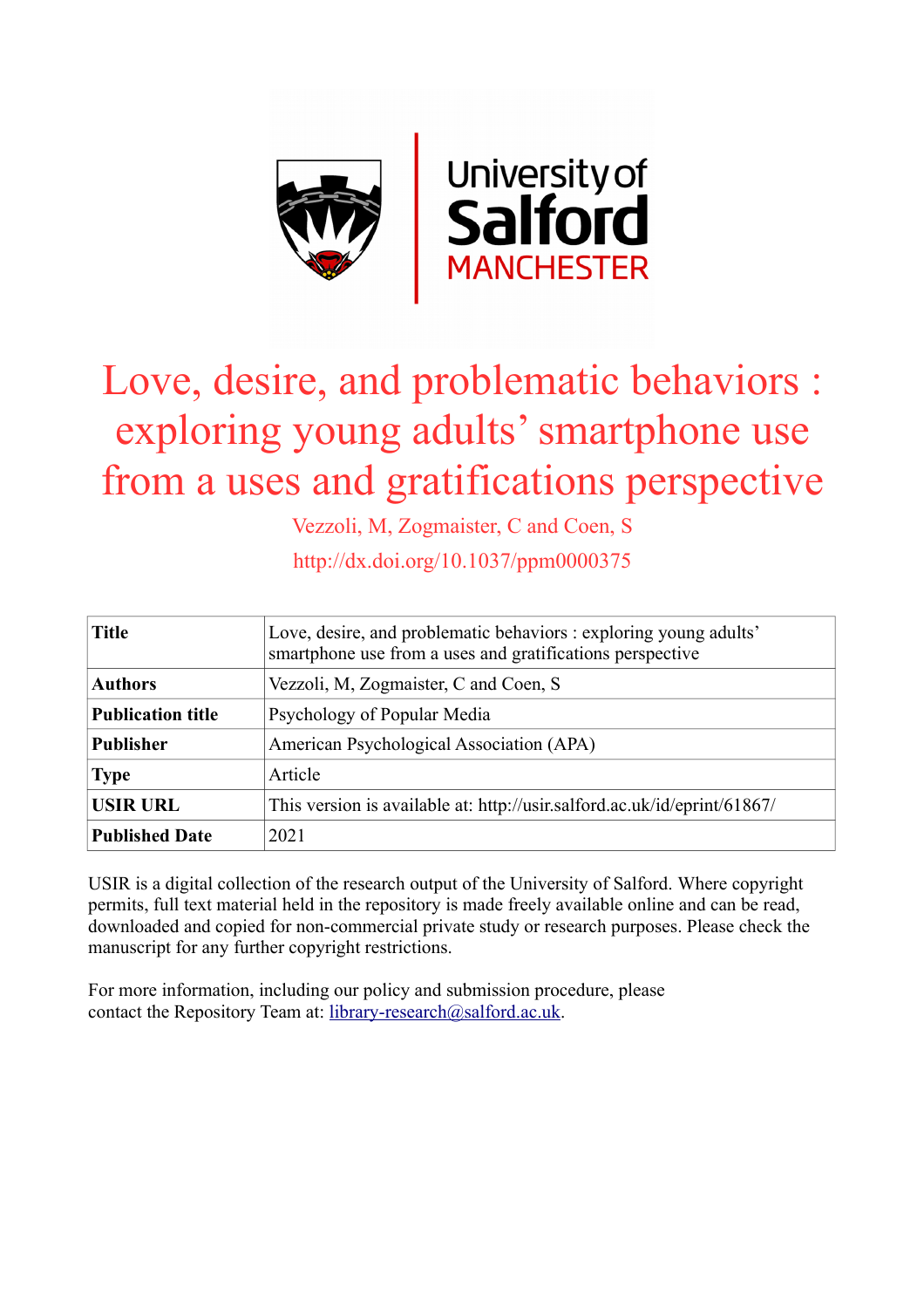

# Love, desire, and problematic behaviors : exploring young adults' smartphone use from a uses and gratifications perspective

Vezzoli, M, Zogmaister, C and Coen, S

http://dx.doi.org/10.1037/ppm0000375

| <b>Title</b>             | Love, desire, and problematic behaviors : exploring young adults'<br>smartphone use from a uses and gratifications perspective |  |  |  |  |
|--------------------------|--------------------------------------------------------------------------------------------------------------------------------|--|--|--|--|
| <b>Authors</b>           | Vezzoli, M. Zogmaister, C and Coen, S                                                                                          |  |  |  |  |
| <b>Publication title</b> | Psychology of Popular Media                                                                                                    |  |  |  |  |
| <b>Publisher</b>         | American Psychological Association (APA)                                                                                       |  |  |  |  |
| <b>Type</b>              | Article                                                                                                                        |  |  |  |  |
| <b>USIR URL</b>          | This version is available at: http://usir.salford.ac.uk/id/eprint/61867/                                                       |  |  |  |  |
| <b>Published Date</b>    | 2021                                                                                                                           |  |  |  |  |

USIR is a digital collection of the research output of the University of Salford. Where copyright permits, full text material held in the repository is made freely available online and can be read, downloaded and copied for non-commercial private study or research purposes. Please check the manuscript for any further copyright restrictions.

For more information, including our policy and submission procedure, please contact the Repository Team at: [library-research@salford.ac.uk.](mailto:library-research@salford.ac.uk)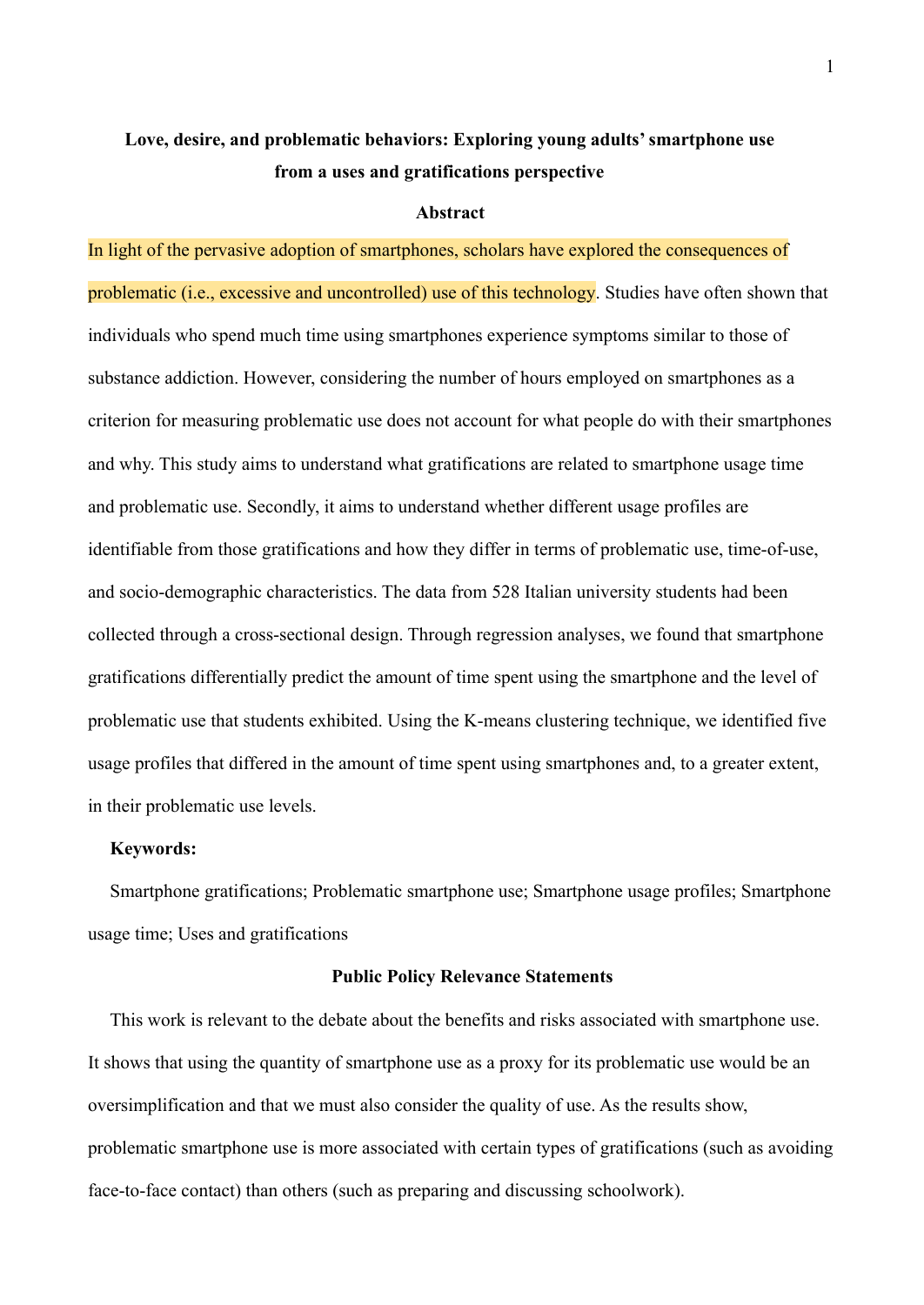# **Love, desire, and problematic behaviors: Exploring young adults' smartphone use from a uses and gratifications perspective**

#### **Abstract**

In light of the pervasive adoption of smartphones, scholars have explored the consequences of problematic (i.e., excessive and uncontrolled) use of this technology. Studies have often shown that individuals who spend much time using smartphones experience symptoms similar to those of substance addiction. However, considering the number of hours employed on smartphones as a criterion for measuring problematic use does not account for what people do with their smartphones and why. This study aims to understand what gratifications are related to smartphone usage time and problematic use. Secondly, it aims to understand whether different usage profiles are identifiable from those gratifications and how they differ in terms of problematic use, time-of-use, and socio-demographic characteristics. The data from 528 Italian university students had been collected through a cross-sectional design. Through regression analyses, we found that smartphone gratifications differentially predict the amount of time spent using the smartphone and the level of problematic use that students exhibited. Using the K-means clustering technique, we identified five usage profiles that differed in the amount of time spent using smartphones and, to a greater extent, in their problematic use levels.

#### **Keywords:**

Smartphone gratifications; Problematic smartphone use; Smartphone usage profiles; Smartphone usage time; Uses and gratifications

#### **Public Policy Relevance Statements**

This work is relevant to the debate about the benefits and risks associated with smartphone use. It shows that using the quantity of smartphone use as a proxy for its problematic use would be an oversimplification and that we must also consider the quality of use. As the results show, problematic smartphone use is more associated with certain types of gratifications (such as avoiding face-to-face contact) than others (such as preparing and discussing schoolwork).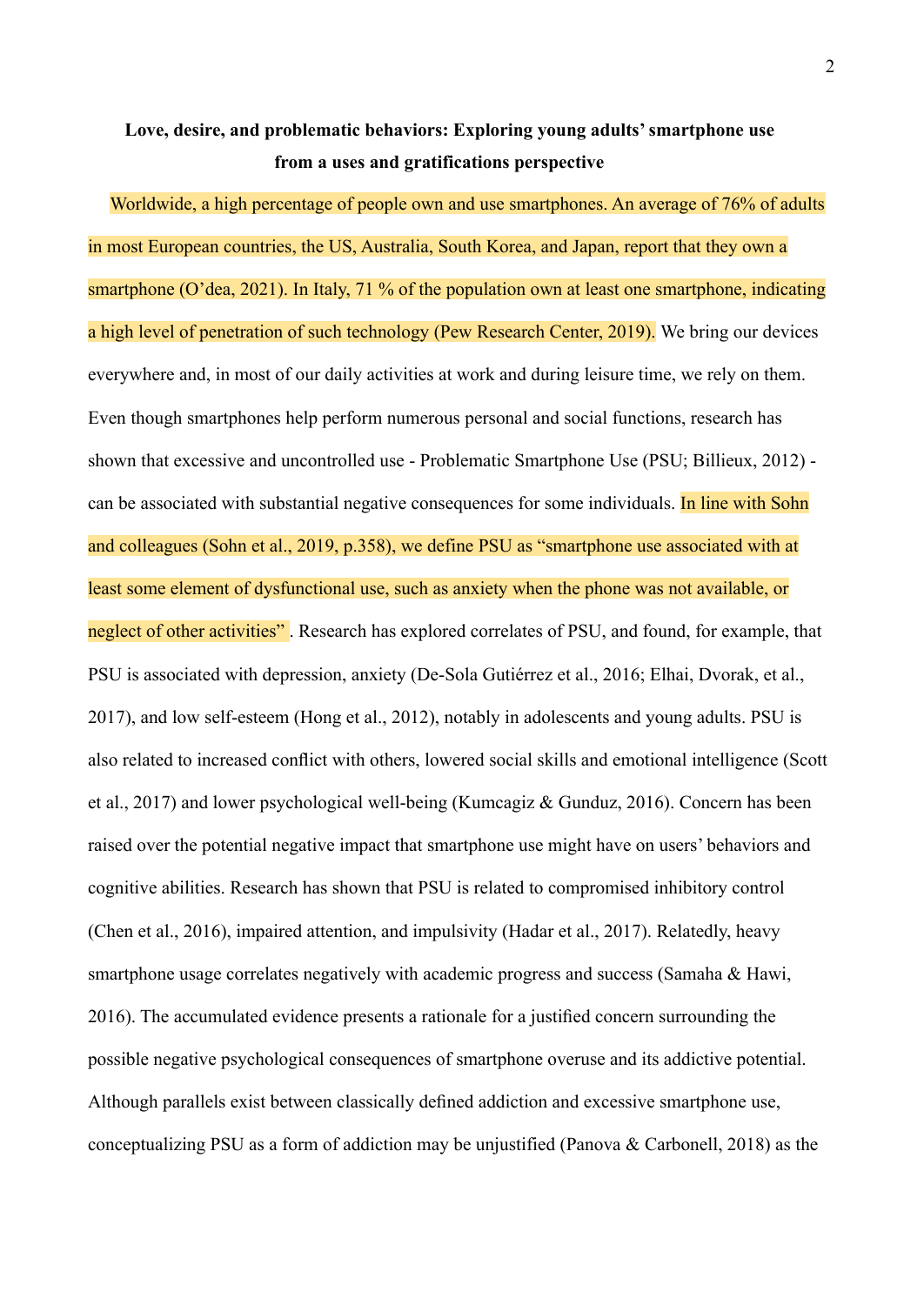# **Love, desire, and problematic behaviors: Exploring young adults' smartphone use from a uses and gratifications perspective**

Worldwide, a high percentage of people own and use smartphones. An average of 76% of adults in most European countries, the US, Australia, South Korea, and Japan, report that they own a smartphone (O'dea, 2021). In Italy, 71 % of the population own at least one smartphone, indicating a high level of penetration of such technology (Pew Research Center, 2019). We bring our devices everywhere and, in most of our daily activities at work and during leisure time, we rely on them. Even though smartphones help perform numerous personal and social functions, research has shown that excessive and uncontrolled use - Problematic Smartphone Use (PSU; Billieux, 2012) can be associated with substantial negative consequences for some individuals. In line with Sohn and colleagues (Sohn et al., 2019, p.358), we define PSU as "smartphone use associated with at least some element of dysfunctional use, such as anxiety when the phone was not available, or neglect of other activities". Research has explored correlates of PSU, and found, for example, that PSU is associated with depression, anxiety (De-Sola Gutiérrez et al., 2016; Elhai, Dvorak, et al., 2017), and low self-esteem (Hong et al., 2012), notably in adolescents and young adults. PSU is also related to increased conflict with others, lowered social skills and emotional intelligence (Scott et al., 2017) and lower psychological well-being (Kumcagiz & Gunduz, 2016). Concern has been raised over the potential negative impact that smartphone use might have on users' behaviors and cognitive abilities. Research has shown that PSU is related to compromised inhibitory control (Chen et al., 2016), impaired attention, and impulsivity (Hadar et al., 2017). Relatedly, heavy smartphone usage correlates negatively with academic progress and success (Samaha & Hawi, 2016). The accumulated evidence presents a rationale for a justified concern surrounding the possible negative psychological consequences of smartphone overuse and its addictive potential. Although parallels exist between classically defined addiction and excessive smartphone use, conceptualizing PSU as a form of addiction may be unjustified (Panova & Carbonell, 2018) as the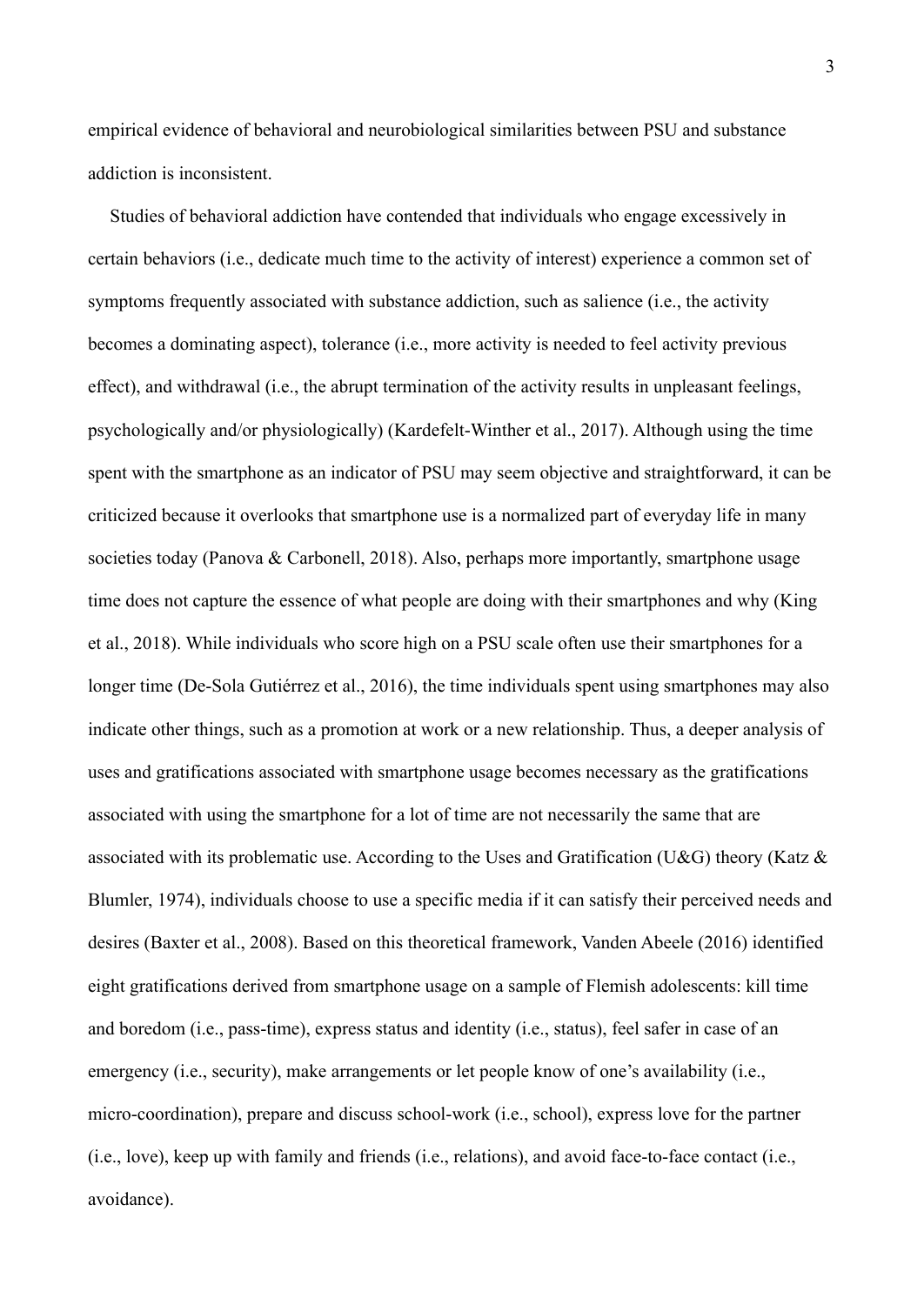empirical evidence of behavioral and neurobiological similarities between PSU and substance addiction is inconsistent.

Studies of behavioral addiction have contended that individuals who engage excessively in certain behaviors (i.e., dedicate much time to the activity of interest) experience a common set of symptoms frequently associated with substance addiction, such as salience (i.e., the activity becomes a dominating aspect), tolerance (i.e., more activity is needed to feel activity previous effect), and withdrawal (i.e., the abrupt termination of the activity results in unpleasant feelings, psychologically and/or physiologically) (Kardefelt-Winther et al., 2017). Although using the time spent with the smartphone as an indicator of PSU may seem objective and straightforward, it can be criticized because it overlooks that smartphone use is a normalized part of everyday life in many societies today (Panova & Carbonell, 2018). Also, perhaps more importantly, smartphone usage time does not capture the essence of what people are doing with their smartphones and why (King et al., 2018). While individuals who score high on a PSU scale often use their smartphones for a longer time (De-Sola Gutiérrez et al., 2016), the time individuals spent using smartphones may also indicate other things, such as a promotion at work or a new relationship. Thus, a deeper analysis of uses and gratifications associated with smartphone usage becomes necessary as the gratifications associated with using the smartphone for a lot of time are not necessarily the same that are associated with its problematic use. According to the Uses and Gratification (U&G) theory (Katz & Blumler, 1974), individuals choose to use a specific media if it can satisfy their perceived needs and desires (Baxter et al., 2008). Based on this theoretical framework, Vanden Abeele (2016) identified eight gratifications derived from smartphone usage on a sample of Flemish adolescents: kill time and boredom (i.e., pass-time), express status and identity (i.e., status), feel safer in case of an emergency (i.e., security), make arrangements or let people know of one's availability (i.e., micro-coordination), prepare and discuss school-work (i.e., school), express love for the partner (i.e., love), keep up with family and friends (i.e., relations), and avoid face-to-face contact (i.e., avoidance).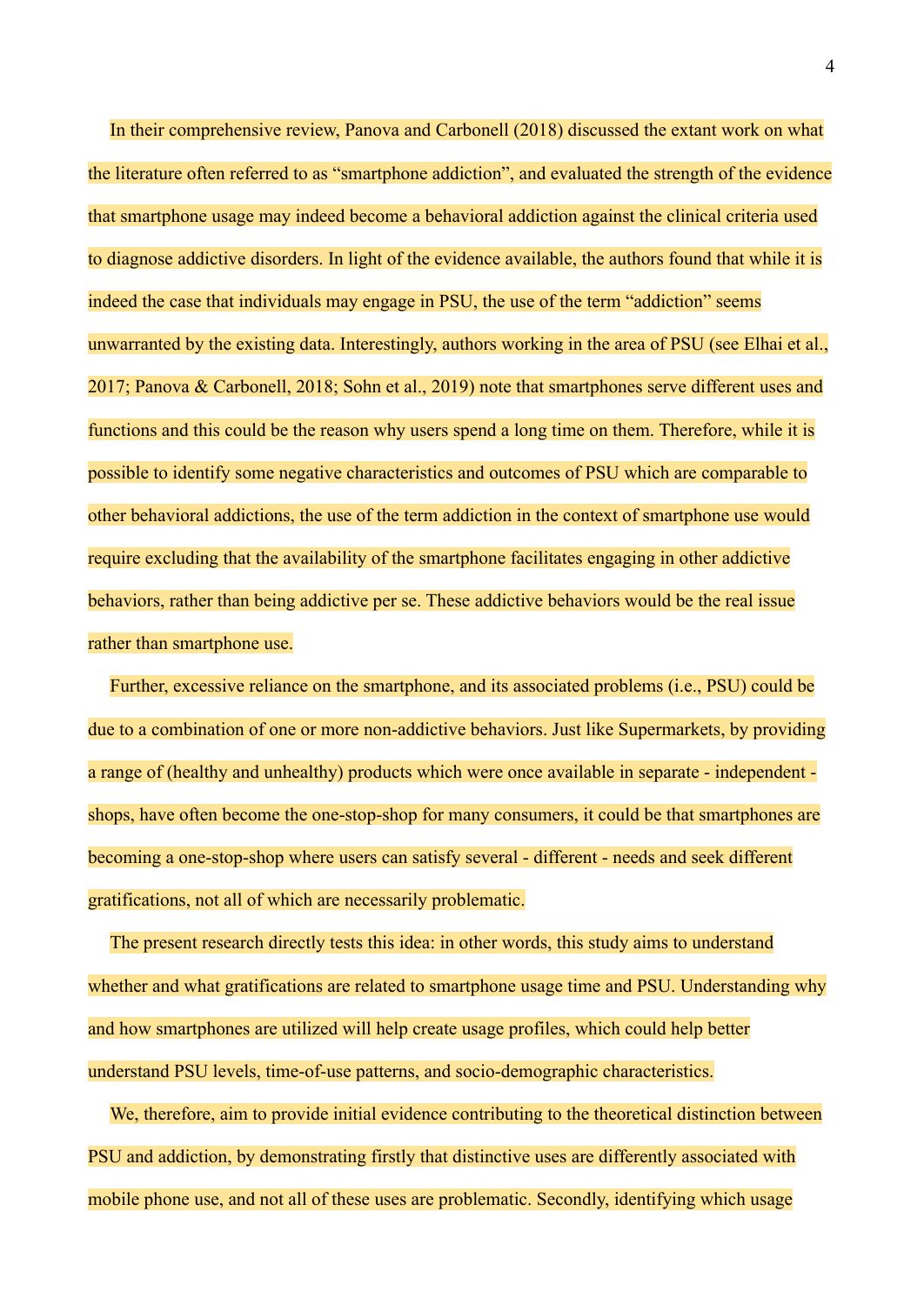In their comprehensive review, Panova and Carbonell (2018) discussed the extant work on what the literature often referred to as "smartphone addiction", and evaluated the strength of the evidence that smartphone usage may indeed become a behavioral addiction against the clinical criteria used to diagnose addictive disorders. In light of the evidence available, the authors found that while it is indeed the case that individuals may engage in PSU, the use of the term "addiction" seems unwarranted by the existing data. Interestingly, authors working in the area of PSU (see Elhai et al., 2017; Panova & Carbonell, 2018; Sohn et al., 2019) note that smartphones serve different uses and functions and this could be the reason why users spend a long time on them. Therefore, while it is possible to identify some negative characteristics and outcomes of PSU which are comparable to other behavioral addictions, the use of the term addiction in the context of smartphone use would require excluding that the availability of the smartphone facilitates engaging in other addictive behaviors, rather than being addictive per se. These addictive behaviors would be the real issue rather than smartphone use.

Further, excessive reliance on the smartphone, and its associated problems (i.e., PSU) could be due to a combination of one or more non-addictive behaviors. Just like Supermarkets, by providing a range of (healthy and unhealthy) products which were once available in separate - independent shops, have often become the one-stop-shop for many consumers, it could be that smartphones are becoming a one-stop-shop where users can satisfy several - different - needs and seek different gratifications, not all of which are necessarily problematic.

The present research directly tests this idea: in other words, this study aims to understand whether and what gratifications are related to smartphone usage time and PSU. Understanding why and how smartphones are utilized will help create usage profiles, which could help better understand PSU levels, time-of-use patterns, and socio-demographic characteristics.

We, therefore, aim to provide initial evidence contributing to the theoretical distinction between PSU and addiction, by demonstrating firstly that distinctive uses are differently associated with mobile phone use, and not all of these uses are problematic. Secondly, identifying which usage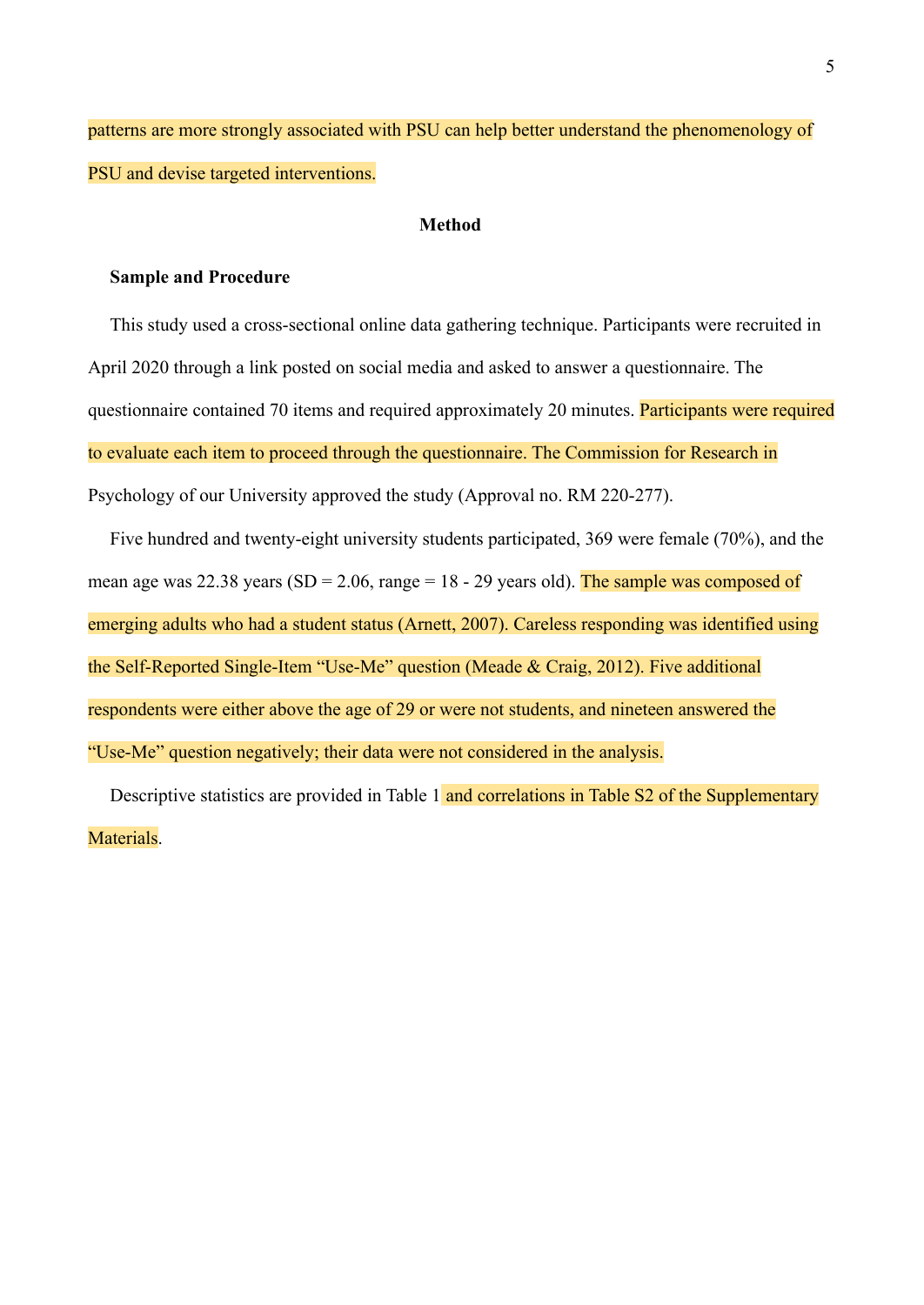patterns are more strongly associated with PSU can help better understand the phenomenology of PSU and devise targeted interventions.

#### **Method**

#### **Sample and Procedure**

This study used a cross-sectional online data gathering technique. Participants were recruited in April 2020 through a link posted on social media and asked to answer a questionnaire. The questionnaire contained 70 items and required approximately 20 minutes. Participants were required to evaluate each item to proceed through the questionnaire. The Commission for Research in Psychology of our University approved the study (Approval no. RM 220-277).

Five hundred and twenty-eight university students participated, 369 were female (70%), and the mean age was 22.38 years (SD = 2.06, range =  $18 - 29$  years old). The sample was composed of emerging adults who had a student status (Arnett, 2007). Careless responding was identified using the Self-Reported Single-Item "Use-Me" question (Meade & Craig, 2012). Five additional respondents were either above the age of 29 or were not students, and nineteen answered the "Use-Me" question negatively; their data were not considered in the analysis.

Descriptive statistics are provided in Table 1 and correlations in Table S2 of the Supplementary Materials.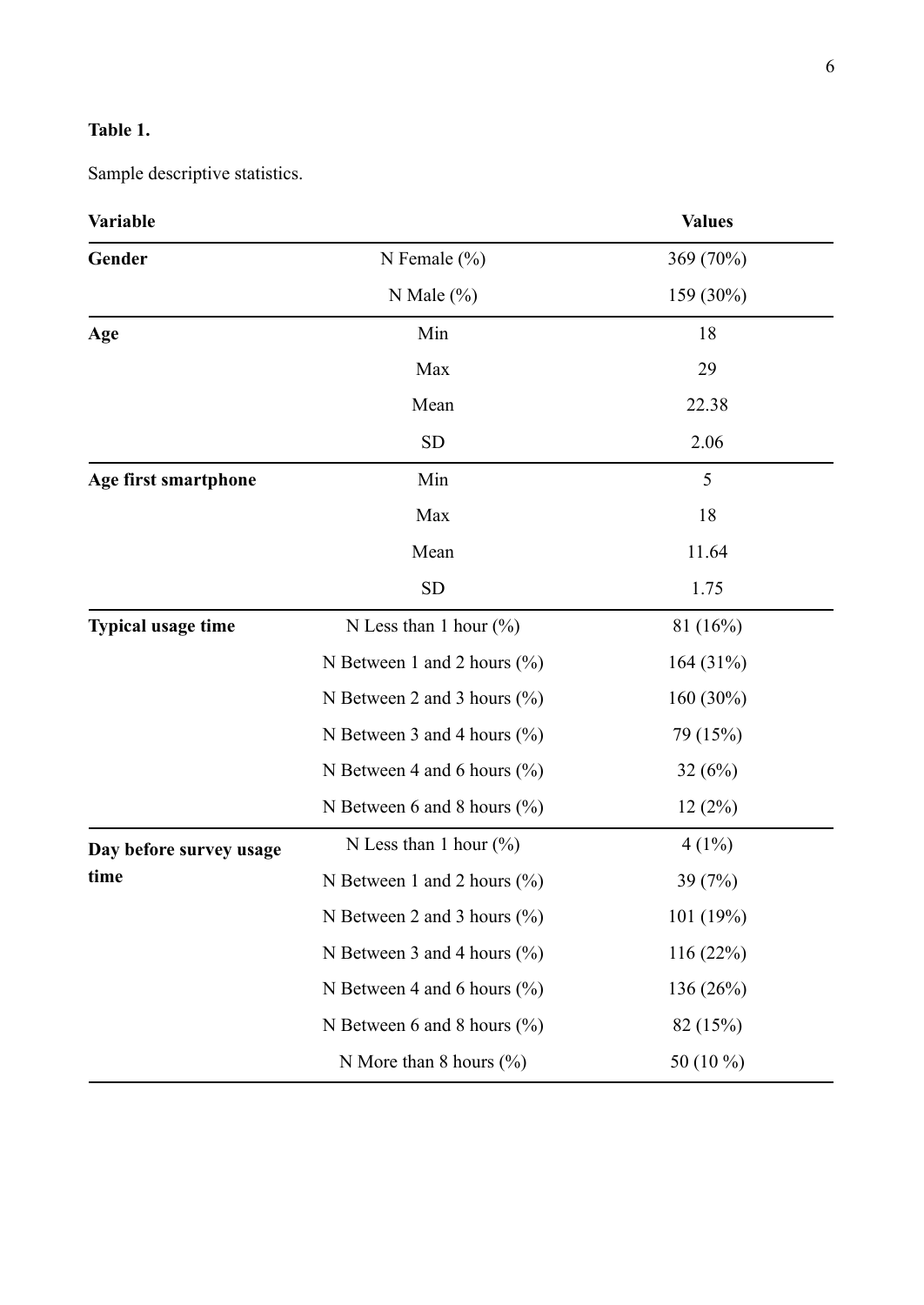## **Table 1.**

Sample descriptive statistics.

| <b>Variable</b>           |                                 | <b>Values</b> |
|---------------------------|---------------------------------|---------------|
| Gender                    | N Female $(\% )$                | 369 (70%)     |
|                           | N Male $(\% )$                  | 159 (30%)     |
| Age                       | Min                             | 18            |
|                           | Max                             | 29            |
|                           | Mean                            | 22.38         |
|                           | <b>SD</b>                       | 2.06          |
| Age first smartphone      | Min                             | 5             |
|                           | Max                             | 18            |
|                           | Mean                            | 11.64         |
|                           | <b>SD</b>                       | 1.75          |
| <b>Typical usage time</b> | N Less than 1 hour $(\% )$      | 81(16%)       |
|                           | N Between 1 and 2 hours $(\%$ ) | 164(31%)      |
|                           | N Between 2 and 3 hours $(\%$ ) | $160(30\%)$   |
|                           | N Between 3 and 4 hours $(\%$ ) | 79 (15%)      |
|                           | N Between 4 and 6 hours $(\%$ ) | 32(6%)        |
|                           | N Between 6 and 8 hours $(\%$ ) | 12(2%)        |
| Day before survey usage   | N Less than 1 hour $(\% )$      | $4(1\%)$      |
| time                      | N Between 1 and 2 hours $(\%$ ) | 39 (7%)       |
|                           | N Between 2 and 3 hours $(\%$ ) | 101(19%)      |
|                           | N Between 3 and 4 hours $(\%$   | 116(22%)      |
|                           | N Between 4 and 6 hours $(\%$ ) | 136(26%)      |
|                           | N Between 6 and 8 hours $(\%$ ) | 82 (15%)      |
|                           | N More than 8 hours $(\% )$     | 50 (10 %)     |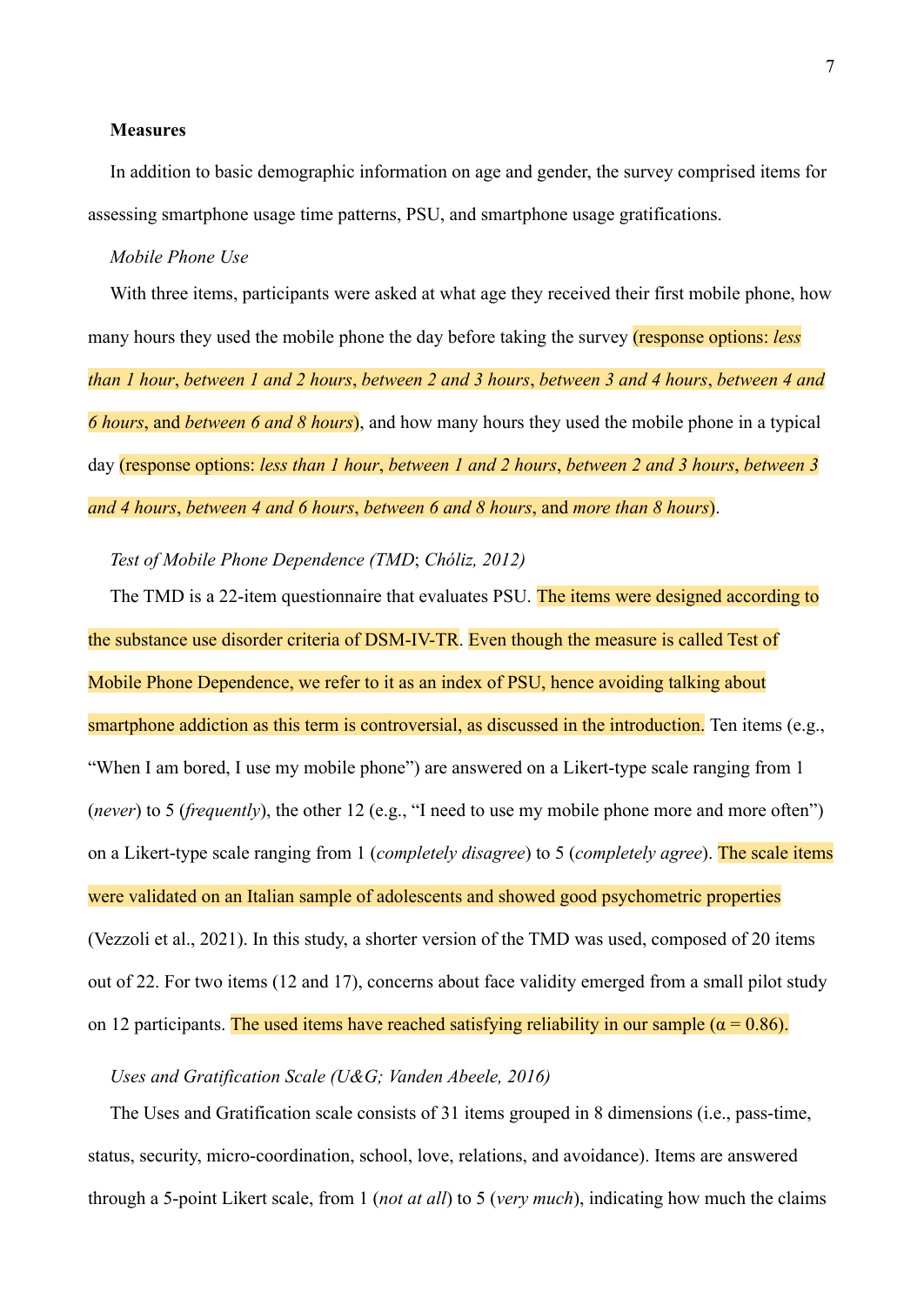#### **Measures**

In addition to basic demographic information on age and gender, the survey comprised items for assessing smartphone usage time patterns, PSU, and smartphone usage gratifications.

#### *Mobile Phone Use*

With three items, participants were asked at what age they received their first mobile phone, how many hours they used the mobile phone the day before taking the survey (response options: *less than 1 hour*, *between 1 and 2 hours*, *between 2 and 3 hours*, *between 3 and 4 hours*, *between 4 and 6 hours*, and *between 6 and 8 hours*), and how many hours they used the mobile phone in a typical day (response options: *less than 1 hour*, *between 1 and 2 hours*, *between 2 and 3 hours*, *between 3 and 4 hours*, *between 4 and 6 hours*, *between 6 and 8 hours*, and *more than 8 hours*).

*Test of Mobile Phone Dependence (TMD*; *Chóliz, 2012)*

The TMD is a 22-item questionnaire that evaluates PSU. The items were designed according to the substance use disorder criteria of DSM-IV-TR. Even though the measure is called Test of Mobile Phone Dependence, we refer to it as an index of PSU, hence avoiding talking about smartphone addiction as this term is controversial, as discussed in the introduction. Ten items (e.g., "When I am bored, I use my mobile phone") are answered on a Likert-type scale ranging from 1 (*never*) to 5 (*frequently*), the other 12 (e.g., "I need to use my mobile phone more and more often") on a Likert-type scale ranging from 1 (*completely disagree*) to 5 (*completely agree*). The scale items were validated on an Italian sample of adolescents and showed good psychometric properties (Vezzoli et al., 2021). In this study, a shorter version of the TMD was used, composed of 20 items out of 22. For two items (12 and 17), concerns about face validity emerged from a small pilot study on 12 participants. The used items have reached satisfying reliability in our sample ( $\alpha$  = 0.86).

#### *Uses and Gratification Scale (U&G; Vanden Abeele, 2016)*

The Uses and Gratification scale consists of 31 items grouped in 8 dimensions (i.e., pass-time, status, security, micro-coordination, school, love, relations, and avoidance). Items are answered through a 5-point Likert scale, from 1 (*not at all*) to 5 (*very much*), indicating how much the claims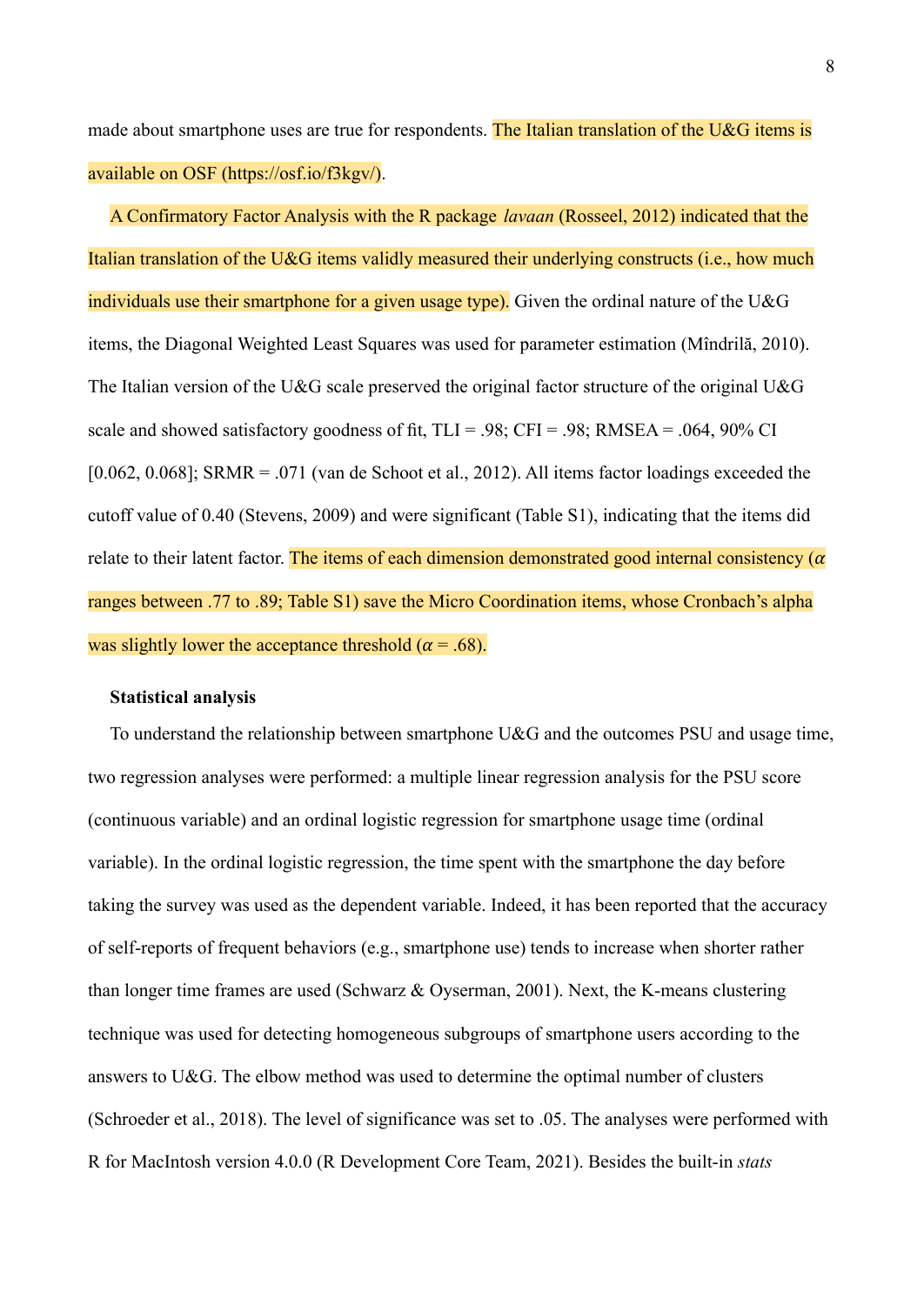made about smartphone uses are true for respondents. The Italian translation of the U&G items is available on OSF (https://osf.io/f3kgv/).

A Confirmatory Factor Analysis with the R package *lavaan* (Rosseel, 2012) indicated that the Italian translation of the U&G items validly measured their underlying constructs (i.e., how much individuals use their smartphone for a given usage type). Given the ordinal nature of the U&G items, the Diagonal Weighted Least Squares was used for parameter estimation (Mîndrilă, 2010). The Italian version of the U&G scale preserved the original factor structure of the original U&G scale and showed satisfactory goodness of fit,  $TLI = .98$ ;  $CFI = .98$ ;  $RMSEA = .064, 90\%$  CI  $[0.062, 0.068]$ ; SRMR = .071 (van de Schoot et al., 2012). All items factor loadings exceeded the cutoff value of 0.40 (Stevens, 2009) and were significant (Table S1), indicating that the items did relate to their latent factor. The items of each dimension demonstrated good internal consistency ( $\alpha$ ) ranges between .77 to .89; Table S1) save the Micro Coordination items, whose Cronbach's alpha was slightly lower the acceptance threshold ( $\alpha$  = .68).

#### **Statistical analysis**

To understand the relationship between smartphone U&G and the outcomes PSU and usage time, two regression analyses were performed: a multiple linear regression analysis for the PSU score (continuous variable) and an ordinal logistic regression for smartphone usage time (ordinal variable). In the ordinal logistic regression, the time spent with the smartphone the day before taking the survey was used as the dependent variable. Indeed, it has been reported that the accuracy of self-reports of frequent behaviors (e.g., smartphone use) tends to increase when shorter rather than longer time frames are used (Schwarz & Oyserman, 2001). Next, the K-means clustering technique was used for detecting homogeneous subgroups of smartphone users according to the answers to U&G. The elbow method was used to determine the optimal number of clusters (Schroeder et al., 2018). The level of significance was set to .05. The analyses were performed with R for MacIntosh version 4.0.0 (R Development Core Team, 2021). Besides the built-in *stats*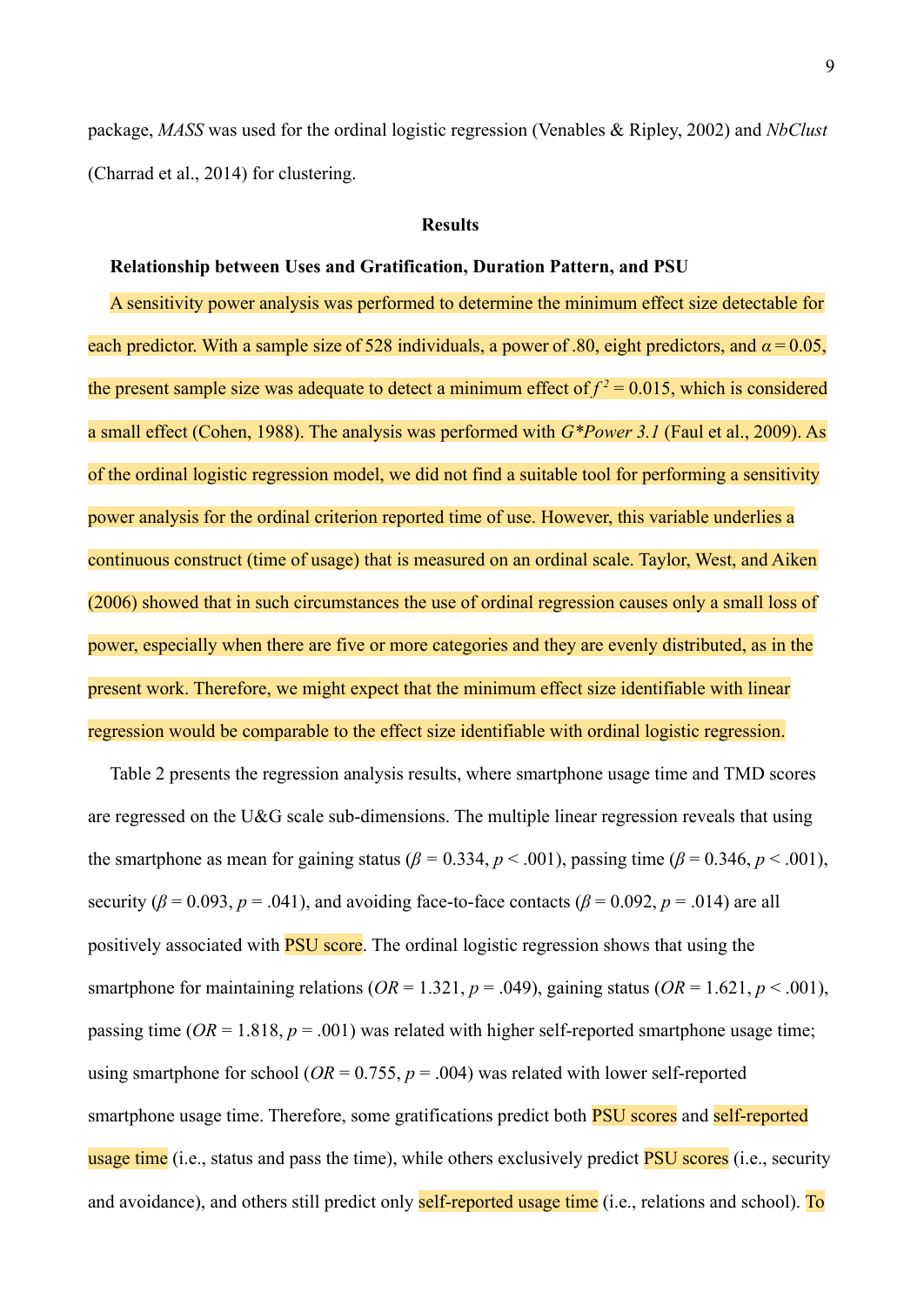package, *MASS* was used for the ordinal logistic regression (Venables & Ripley, 2002) and *NbClust* (Charrad et al., 2014) for clustering.

#### **Results**

#### **Relationship between Uses and Gratification, Duration Pattern, and PSU**

A sensitivity power analysis was performed to determine the minimum effect size detectable for each predictor. With a sample size of 528 individuals, a power of .80, eight predictors, and *α* = 0.05, the present sample size was adequate to detect a minimum effect of  $f^2 = 0.015$ , which is considered a small effect (Cohen, 1988). The analysis was performed with *G\*Power 3.1* (Faul et al., 2009). As of the ordinal logistic regression model, we did not find a suitable tool for performing a sensitivity power analysis for the ordinal criterion reported time of use. However, this variable underlies a continuous construct (time of usage) that is measured on an ordinal scale. Taylor, West, and Aiken (2006) showed that in such circumstances the use of ordinal regression causes only a small loss of power, especially when there are five or more categories and they are evenly distributed, as in the present work. Therefore, we might expect that the minimum effect size identifiable with linear regression would be comparable to the effect size identifiable with ordinal logistic regression.

Table 2 presents the regression analysis results, where smartphone usage time and TMD scores are regressed on the U&G scale sub-dimensions. The multiple linear regression reveals that using the smartphone as mean for gaining status ( $\beta = 0.334$ ,  $p < .001$ ), passing time ( $\beta = 0.346$ ,  $p < .001$ ), security ( $\beta$  = 0.093,  $p$  = .041), and avoiding face-to-face contacts ( $\beta$  = 0.092,  $p$  = .014) are all positively associated with PSU score. The ordinal logistic regression shows that using the smartphone for maintaining relations ( $OR = 1.321$ ,  $p = .049$ ), gaining status ( $OR = 1.621$ ,  $p < .001$ ), passing time ( $OR = 1.818$ ,  $p = .001$ ) was related with higher self-reported smartphone usage time; using smartphone for school ( $OR = 0.755$ ,  $p = .004$ ) was related with lower self-reported smartphone usage time. Therefore, some gratifications predict both **PSU** scores and self-reported usage time (i.e., status and pass the time), while others exclusively predict **PSU** scores (i.e., security and avoidance), and others still predict only self-reported usage time (i.e., relations and school). To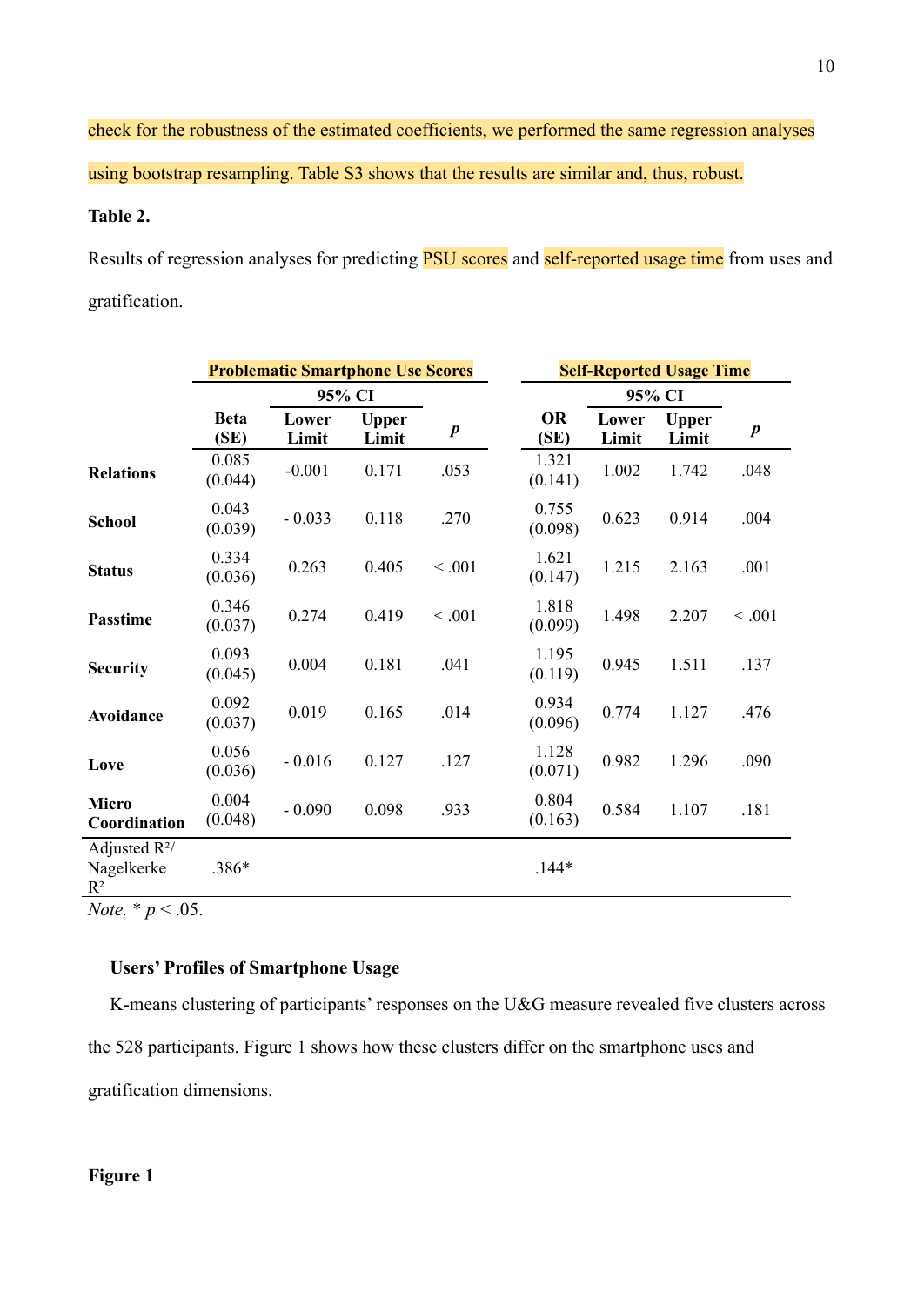check for the robustness of the estimated coefficients, we performed the same regression analyses using bootstrap resampling. Table S3 shows that the results are similar and, thus, robust.

### **Table 2.**

Results of regression analyses for predicting **PSU** scores and self-reported usage time from uses and gratification.

|                                                 | <b>Problematic Smartphone Use Scores</b> |                |                       |                  | <b>Self-Reported Usage Time</b> |                |                       |                  |
|-------------------------------------------------|------------------------------------------|----------------|-----------------------|------------------|---------------------------------|----------------|-----------------------|------------------|
|                                                 |                                          | 95% CI         |                       |                  | 95% CI                          |                |                       |                  |
|                                                 | <b>Beta</b><br>(SE)                      | Lower<br>Limit | <b>Upper</b><br>Limit | $\boldsymbol{p}$ | <b>OR</b><br>(SE)               | Lower<br>Limit | <b>Upper</b><br>Limit | $\boldsymbol{p}$ |
| <b>Relations</b>                                | 0.085<br>(0.044)                         | $-0.001$       | 0.171                 | .053             | 1.321<br>(0.141)                | 1.002          | 1.742                 | .048             |
| <b>School</b>                                   | 0.043<br>(0.039)                         | $-0.033$       | 0.118                 | .270             | 0.755<br>(0.098)                | 0.623          | 0.914                 | .004             |
| <b>Status</b>                                   | 0.334<br>(0.036)                         | 0.263          | 0.405                 | < 0.001          | 1.621<br>(0.147)                | 1.215          | 2.163                 | .001             |
| <b>Passtime</b>                                 | 0.346<br>(0.037)                         | 0.274          | 0.419                 | < 0.001          | 1.818<br>(0.099)                | 1.498          | 2.207                 | < 0.001          |
| <b>Security</b>                                 | 0.093<br>(0.045)                         | 0.004          | 0.181                 | .041             | 1.195<br>(0.119)                | 0.945          | 1.511                 | .137             |
| Avoidance                                       | 0.092<br>(0.037)                         | 0.019          | 0.165                 | .014             | 0.934<br>(0.096)                | 0.774          | 1.127                 | .476             |
| Love                                            | 0.056<br>(0.036)                         | $-0.016$       | 0.127                 | .127             | 1.128<br>(0.071)                | 0.982          | 1.296                 | .090             |
| <b>Micro</b><br>Coordination                    | 0.004<br>(0.048)                         | $-0.090$       | 0.098                 | .933             | 0.804<br>(0.163)                | 0.584          | 1.107                 | .181             |
| Adjusted $R^2/$<br>Nagelkerke<br>$\mathbf{R}^2$ | .386*                                    |                |                       |                  | $.144*$                         |                |                       |                  |

*Note.*  $* p < .05$ .

#### **Users' Profiles of Smartphone Usage**

K-means clustering of participants' responses on the U&G measure revealed five clusters across the 528 participants. Figure 1 shows how these clusters differ on the smartphone uses and gratification dimensions.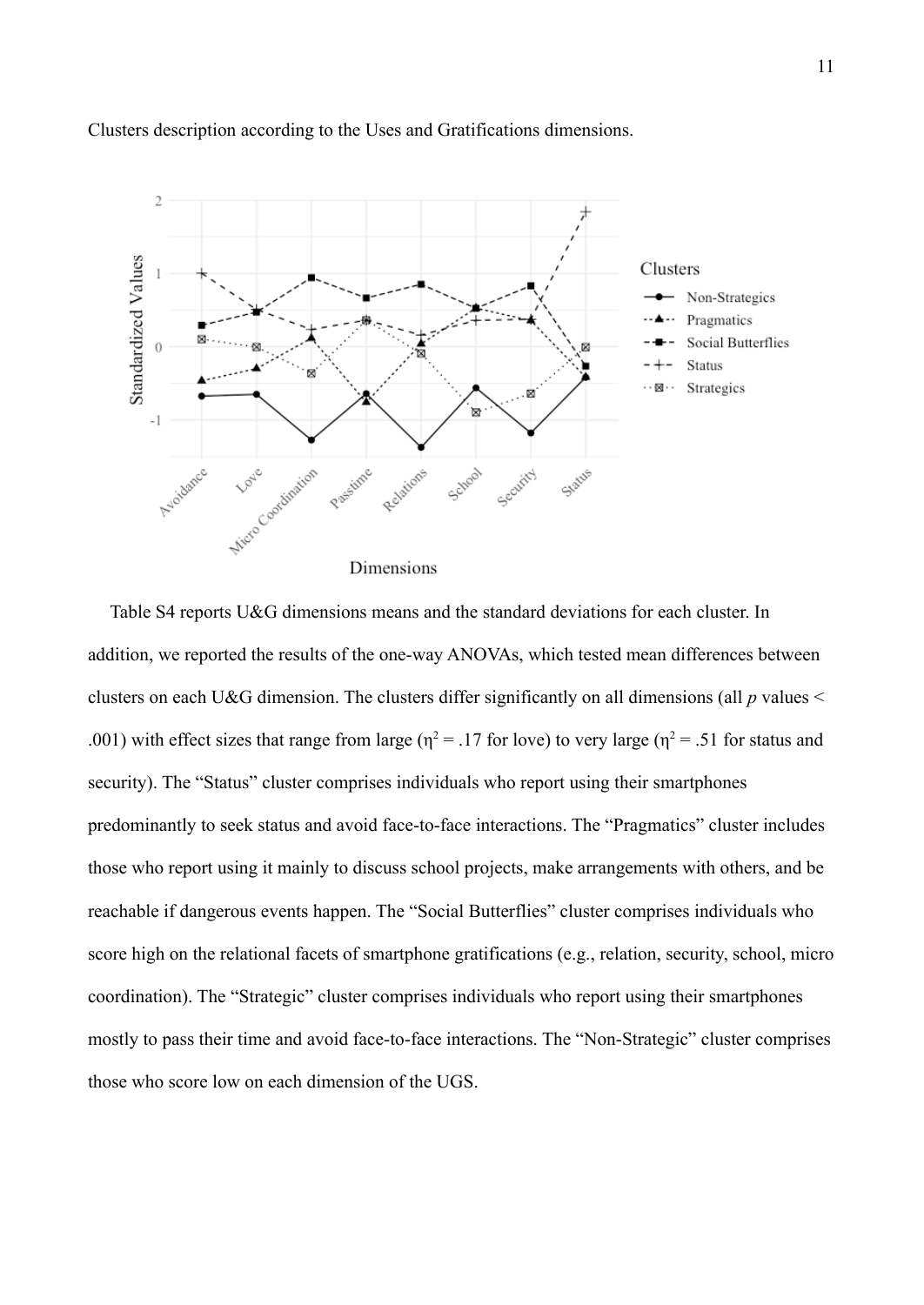

#### Clusters description according to the Uses and Gratifications dimensions.

Table S4 reports U&G dimensions means and the standard deviations for each cluster. In addition, we reported the results of the one-way ANOVAs, which tested mean differences between clusters on each U&G dimension. The clusters differ significantly on all dimensions (all *p* values < .001) with effect sizes that range from large ( $\eta^2$  = .17 for love) to very large ( $\eta^2$  = .51 for status and security). The "Status" cluster comprises individuals who report using their smartphones predominantly to seek status and avoid face-to-face interactions. The "Pragmatics" cluster includes those who report using it mainly to discuss school projects, make arrangements with others, and be reachable if dangerous events happen. The "Social Butterflies" cluster comprises individuals who score high on the relational facets of smartphone gratifications (e.g., relation, security, school, micro coordination). The "Strategic" cluster comprises individuals who report using their smartphones mostly to pass their time and avoid face-to-face interactions. The "Non-Strategic" cluster comprises those who score low on each dimension of the UGS.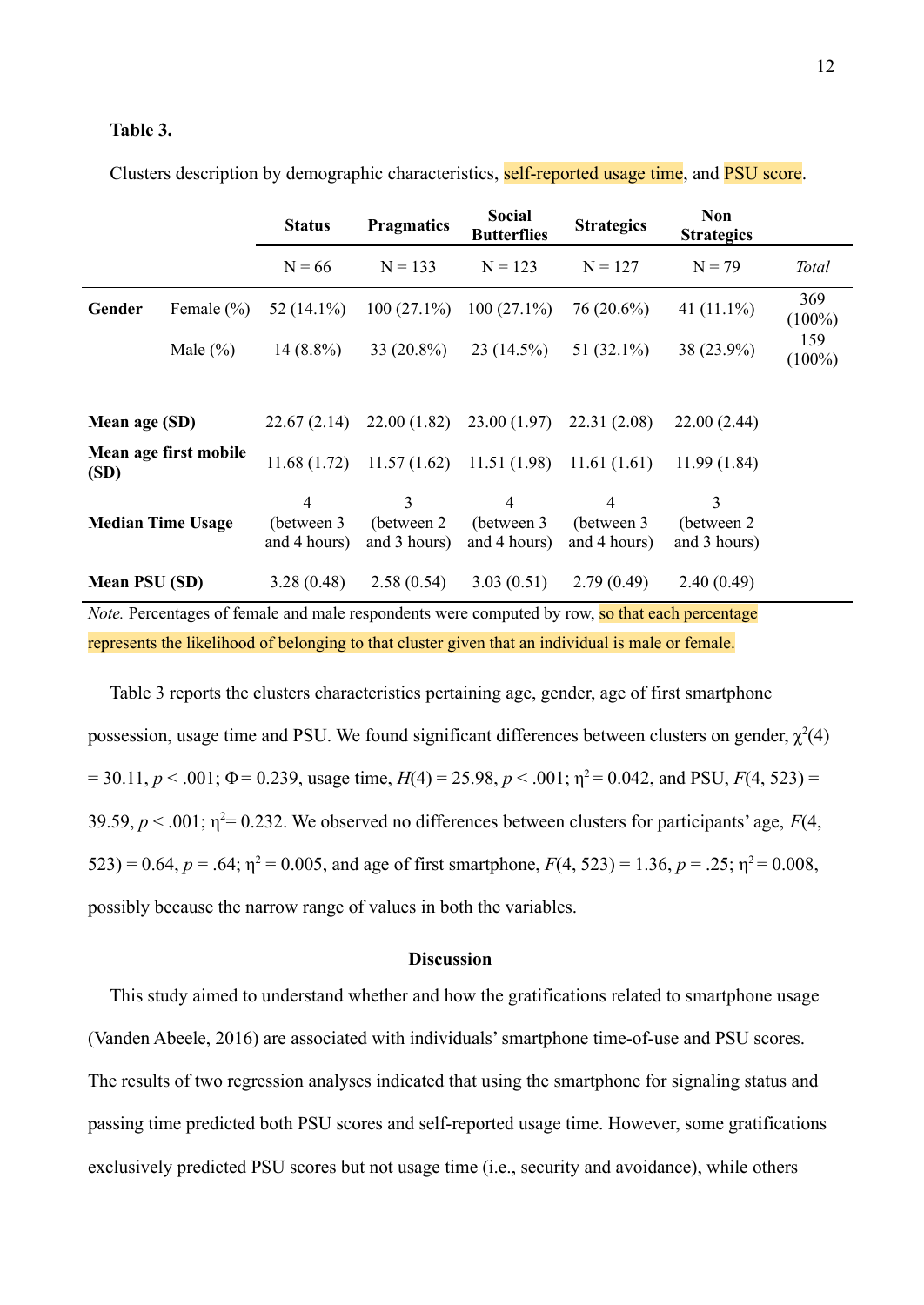#### **Table 3.**

|                      |                          | <b>Status</b>                    | <b>Pragmatics</b>                | <b>Social</b><br><b>Butterflies</b>       | <b>Strategics</b>                             | <b>Non</b><br><b>Strategics</b>  |                  |
|----------------------|--------------------------|----------------------------------|----------------------------------|-------------------------------------------|-----------------------------------------------|----------------------------------|------------------|
|                      |                          | $N = 66$                         | $N = 133$                        | $N = 123$                                 | $N = 127$                                     | $N = 79$                         | <b>Total</b>     |
| Gender               | Female $(\% )$           | 52 $(14.1\%)$                    | $100(27.1\%)$                    | $100(27.1\%)$                             | $76(20.6\%)$                                  | 41 $(11.1\%)$                    | 369<br>$(100\%)$ |
|                      | Male $(\% )$             | $14(8.8\%)$                      | $33(20.8\%)$                     | $23(14.5\%)$                              | 51 $(32.1\%)$                                 | 38 (23.9%)                       | 159<br>$(100\%)$ |
|                      |                          |                                  |                                  |                                           |                                               |                                  |                  |
| Mean age (SD)        |                          | 22.67(2.14)                      | 22.00(1.82)                      | 23.00(1.97)                               | 22.31(2.08)                                   | 22.00(2.44)                      |                  |
| (SD)                 | Mean age first mobile    | 11.68(1.72)                      |                                  | $11.57(1.62)$ $11.51(1.98)$ $11.61(1.61)$ |                                               | 11.99(1.84)                      |                  |
|                      | <b>Median Time Usage</b> | 4<br>(between 3)<br>and 4 hours) | 3<br>(between 2)<br>and 3 hours) | 4<br>(between 3)<br>and 4 hours)          | $\overline{4}$<br>(between 3)<br>and 4 hours) | 3<br>(between 2)<br>and 3 hours) |                  |
| <b>Mean PSU (SD)</b> |                          | 3.28(0.48)                       | 2.58(0.54)                       | 3.03(0.51)                                | 2.79(0.49)                                    | 2.40(0.49)                       |                  |

Clusters description by demographic characteristics, self-reported usage time, and **PSU** score.

*Note.* Percentages of female and male respondents were computed by row, so that each percentage represents the likelihood of belonging to that cluster given that an individual is male or female.

Table 3 reports the clusters characteristics pertaining age, gender, age of first smartphone possession, usage time and PSU. We found significant differences between clusters on gender,  $\chi^2(4)$  $= 30.11, p < .001$ ;  $\Phi = 0.239$ , usage time,  $H(4) = 25.98, p < .001$ ;  $\eta^2 = 0.042$ , and PSU,  $F(4, 523) =$ 39.59,  $p < .001$ ;  $\eta^2 = 0.232$ . We observed no differences between clusters for participants' age,  $F(4)$ , 523) = 0.64,  $p = .64$ ;  $\eta^2 = 0.005$ , and age of first smartphone,  $F(4, 523) = 1.36$ ,  $p = .25$ ;  $\eta^2 = 0.008$ , possibly because the narrow range of values in both the variables.

#### **Discussion**

This study aimed to understand whether and how the gratifications related to smartphone usage (Vanden Abeele, 2016) are associated with individuals' smartphone time-of-use and PSU scores. The results of two regression analyses indicated that using the smartphone for signaling status and passing time predicted both PSU scores and self-reported usage time. However, some gratifications exclusively predicted PSU scores but not usage time (i.e., security and avoidance), while others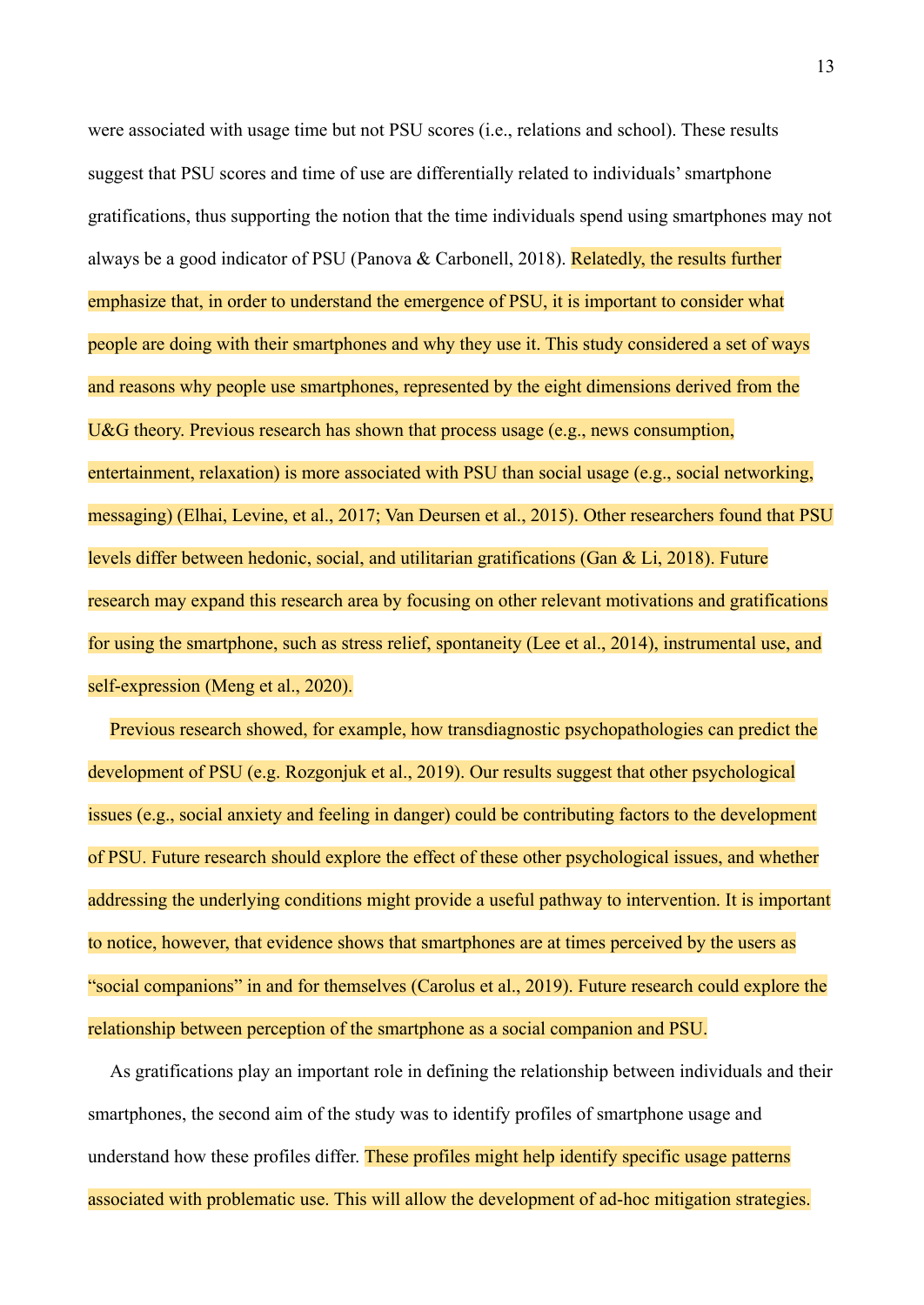were associated with usage time but not PSU scores (i.e., relations and school). These results suggest that PSU scores and time of use are differentially related to individuals' smartphone gratifications, thus supporting the notion that the time individuals spend using smartphones may not always be a good indicator of PSU (Panova & Carbonell, 2018). Relatedly, the results further emphasize that, in order to understand the emergence of PSU, it is important to consider what people are doing with their smartphones and why they use it. This study considered a set of ways and reasons why people use smartphones, represented by the eight dimensions derived from the U&G theory. Previous research has shown that process usage (e.g., news consumption, entertainment, relaxation) is more associated with PSU than social usage (e.g., social networking, messaging) (Elhai, Levine, et al., 2017; Van Deursen et al., 2015). Other researchers found that PSU levels differ between hedonic, social, and utilitarian gratifications (Gan & Li, 2018). Future research may expand this research area by focusing on other relevant motivations and gratifications for using the smartphone, such as stress relief, spontaneity (Lee et al., 2014), instrumental use, and self-expression (Meng et al., 2020).

Previous research showed, for example, how transdiagnostic psychopathologies can predict the development of PSU (e.g. Rozgonjuk et al., 2019). Our results suggest that other psychological issues (e.g., social anxiety and feeling in danger) could be contributing factors to the development of PSU. Future research should explore the effect of these other psychological issues, and whether addressing the underlying conditions might provide a useful pathway to intervention. It is important to notice, however, that evidence shows that smartphones are at times perceived by the users as "social companions" in and for themselves (Carolus et al., 2019). Future research could explore the relationship between perception of the smartphone as a social companion and PSU.

As gratifications play an important role in defining the relationship between individuals and their smartphones, the second aim of the study was to identify profiles of smartphone usage and understand how these profiles differ. These profiles might help identify specific usage patterns associated with problematic use. This will allow the development of ad-hoc mitigation strategies.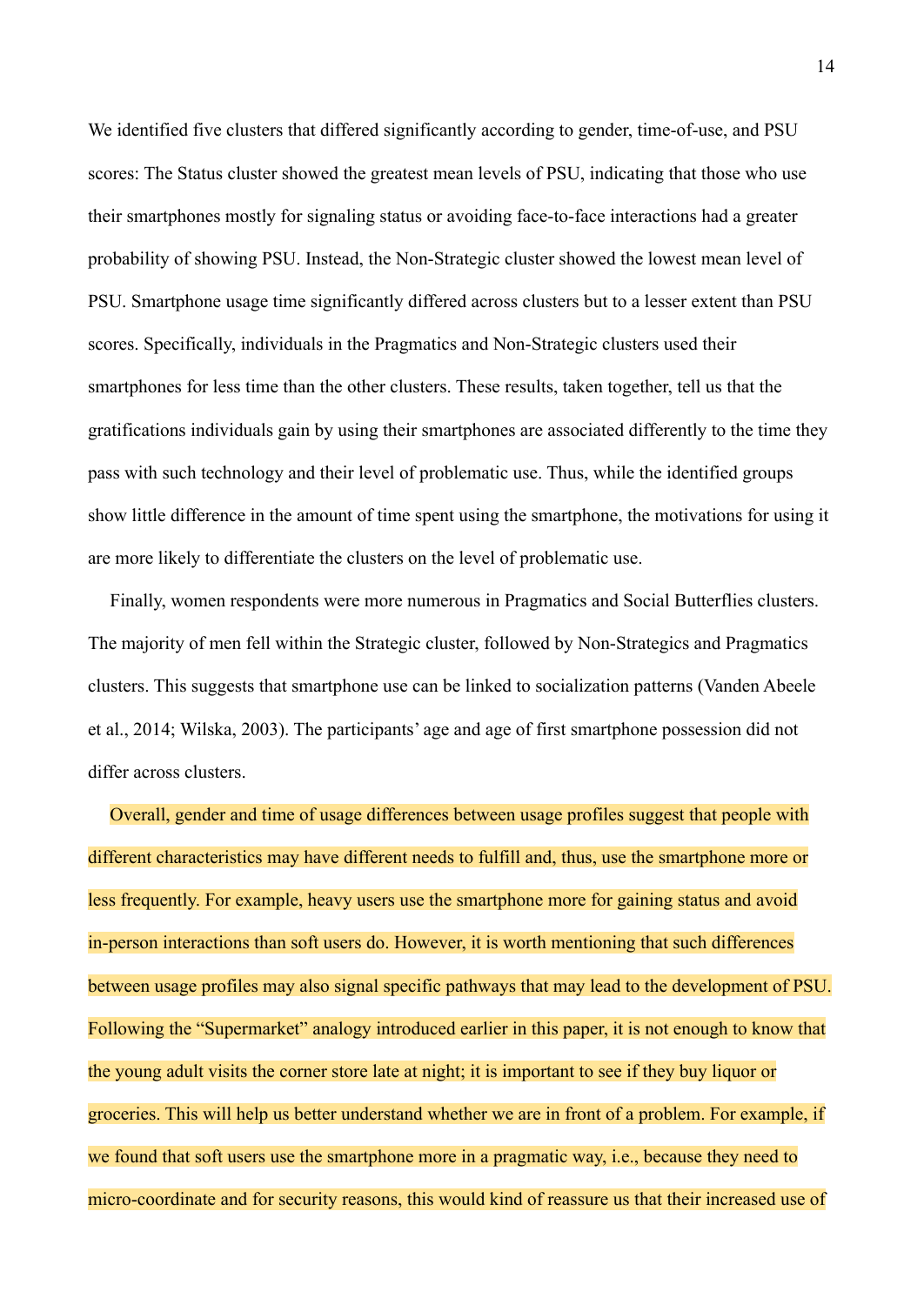We identified five clusters that differed significantly according to gender, time-of-use, and PSU scores: The Status cluster showed the greatest mean levels of PSU, indicating that those who use their smartphones mostly for signaling status or avoiding face-to-face interactions had a greater probability of showing PSU. Instead, the Non-Strategic cluster showed the lowest mean level of PSU. Smartphone usage time significantly differed across clusters but to a lesser extent than PSU scores. Specifically, individuals in the Pragmatics and Non-Strategic clusters used their smartphones for less time than the other clusters. These results, taken together, tell us that the gratifications individuals gain by using their smartphones are associated differently to the time they pass with such technology and their level of problematic use. Thus, while the identified groups show little difference in the amount of time spent using the smartphone, the motivations for using it are more likely to differentiate the clusters on the level of problematic use.

Finally, women respondents were more numerous in Pragmatics and Social Butterflies clusters. The majority of men fell within the Strategic cluster, followed by Non-Strategics and Pragmatics clusters. This suggests that smartphone use can be linked to socialization patterns (Vanden Abeele et al., 2014; Wilska, 2003). The participants' age and age of first smartphone possession did not differ across clusters.

Overall, gender and time of usage differences between usage profiles suggest that people with different characteristics may have different needs to fulfill and, thus, use the smartphone more or less frequently. For example, heavy users use the smartphone more for gaining status and avoid in-person interactions than soft users do. However, it is worth mentioning that such differences between usage profiles may also signal specific pathways that may lead to the development of PSU. Following the "Supermarket" analogy introduced earlier in this paper, it is not enough to know that the young adult visits the corner store late at night; it is important to see if they buy liquor or groceries. This will help us better understand whether we are in front of a problem. For example, if we found that soft users use the smartphone more in a pragmatic way, i.e., because they need to micro-coordinate and for security reasons, this would kind of reassure us that their increased use of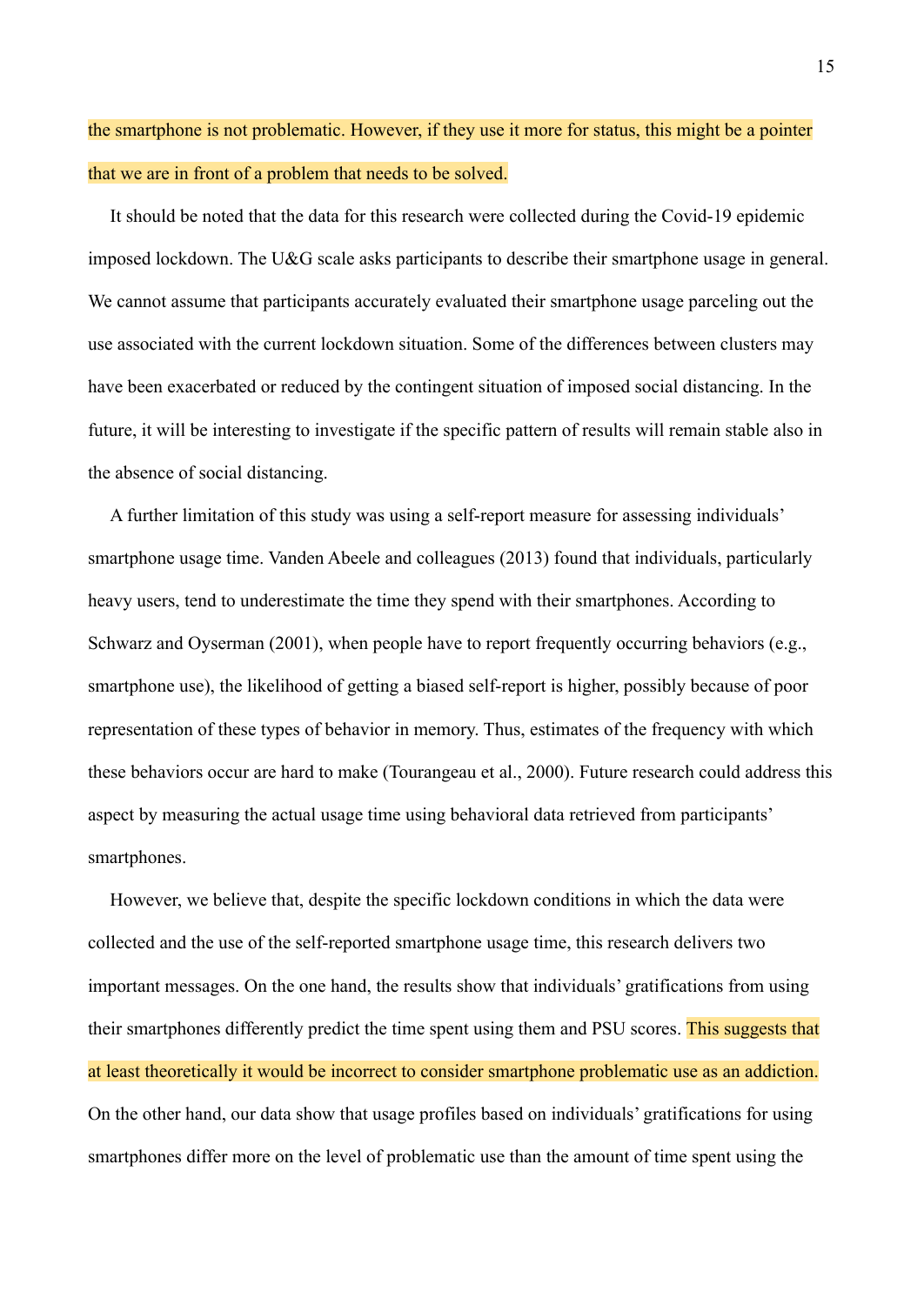# the smartphone is not problematic. However, if they use it more for status, this might be a pointer that we are in front of a problem that needs to be solved.

It should be noted that the data for this research were collected during the Covid-19 epidemic imposed lockdown. The U&G scale asks participants to describe their smartphone usage in general. We cannot assume that participants accurately evaluated their smartphone usage parceling out the use associated with the current lockdown situation. Some of the differences between clusters may have been exacerbated or reduced by the contingent situation of imposed social distancing. In the future, it will be interesting to investigate if the specific pattern of results will remain stable also in the absence of social distancing.

A further limitation of this study was using a self-report measure for assessing individuals' smartphone usage time. Vanden Abeele and colleagues (2013) found that individuals, particularly heavy users, tend to underestimate the time they spend with their smartphones. According to Schwarz and Oyserman (2001), when people have to report frequently occurring behaviors (e.g., smartphone use), the likelihood of getting a biased self-report is higher, possibly because of poor representation of these types of behavior in memory. Thus, estimates of the frequency with which these behaviors occur are hard to make (Tourangeau et al., 2000). Future research could address this aspect by measuring the actual usage time using behavioral data retrieved from participants' smartphones.

However, we believe that, despite the specific lockdown conditions in which the data were collected and the use of the self-reported smartphone usage time, this research delivers two important messages. On the one hand, the results show that individuals' gratifications from using their smartphones differently predict the time spent using them and PSU scores. This suggests that at least theoretically it would be incorrect to consider smartphone problematic use as an addiction. On the other hand, our data show that usage profiles based on individuals' gratifications for using smartphones differ more on the level of problematic use than the amount of time spent using the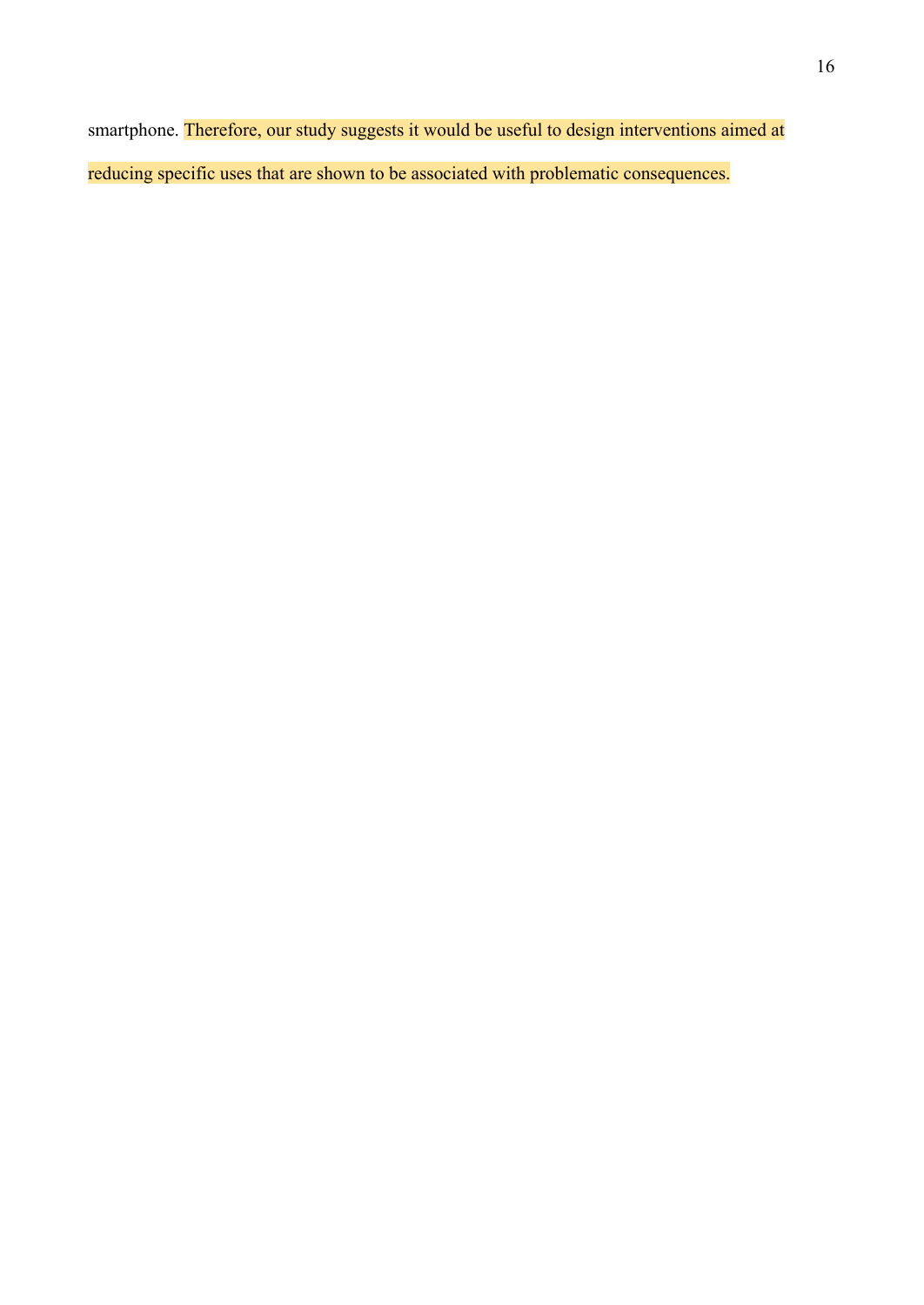smartphone. Therefore, our study suggests it would be useful to design interventions aimed at reducing specific uses that are shown to be associated with problematic consequences.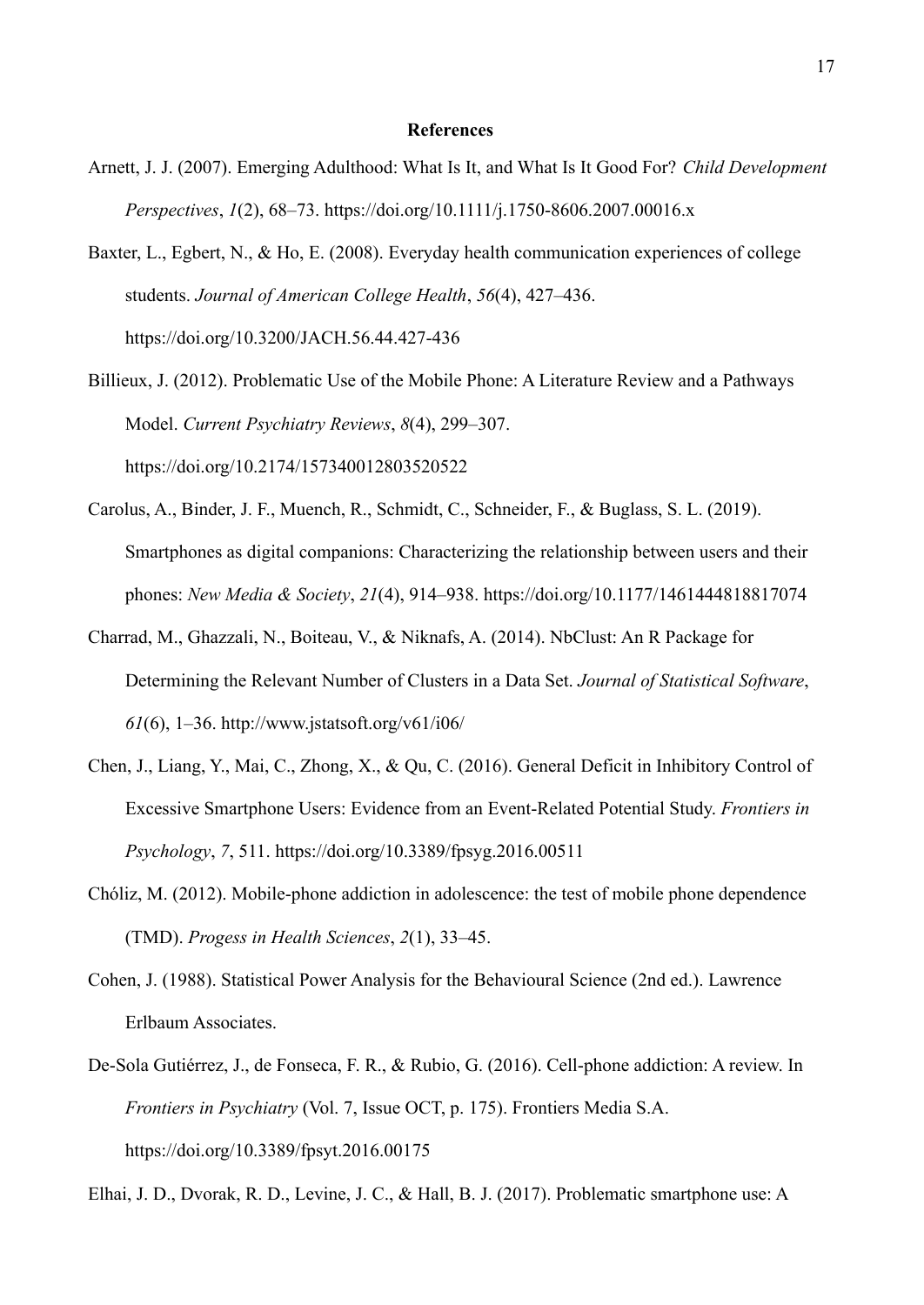#### **References**

- Arnett, J. J. (2007). Emerging Adulthood: What Is It, and What Is It Good For? *Child Development Perspectives*, *1*(2), 68–73. https://doi.org/10.1111/j.1750-8606.2007.00016.x
- Baxter, L., Egbert, N., & Ho, E. (2008). Everyday health communication experiences of college students. *Journal of American College Health*, *56*(4), 427–436. https://doi.org/10.3200/JACH.56.44.427-436
- Billieux, J. (2012). Problematic Use of the Mobile Phone: A Literature Review and a Pathways Model. *Current Psychiatry Reviews*, *8*(4), 299–307. https://doi.org/10.2174/157340012803520522
- Carolus, A., Binder, J. F., Muench, R., Schmidt, C., Schneider, F., & Buglass, S. L. (2019). Smartphones as digital companions: Characterizing the relationship between users and their phones: *New Media & Society*, *21*(4), 914–938. https://doi.org/10.1177/1461444818817074
- Charrad, M., Ghazzali, N., Boiteau, V., & Niknafs, A. (2014). NbClust: An R Package for Determining the Relevant Number of Clusters in a Data Set. *Journal of Statistical Software*, *61*(6), 1–36. http://www.jstatsoft.org/v61/i06/
- Chen, J., Liang, Y., Mai, C., Zhong, X., & Qu, C. (2016). General Deficit in Inhibitory Control of Excessive Smartphone Users: Evidence from an Event-Related Potential Study. *Frontiers in Psychology*, *7*, 511. https://doi.org/10.3389/fpsyg.2016.00511
- Chóliz, M. (2012). Mobile-phone addiction in adolescence: the test of mobile phone dependence (TMD). *Progess in Health Sciences*, *2*(1), 33–45.
- Cohen, J. (1988). Statistical Power Analysis for the Behavioural Science (2nd ed.). Lawrence Erlbaum Associates.
- De-Sola Gutiérrez, J., de Fonseca, F. R., & Rubio, G. (2016). Cell-phone addiction: A review. In *Frontiers in Psychiatry* (Vol. 7, Issue OCT, p. 175). Frontiers Media S.A. https://doi.org/10.3389/fpsyt.2016.00175

Elhai, J. D., Dvorak, R. D., Levine, J. C., & Hall, B. J. (2017). Problematic smartphone use: A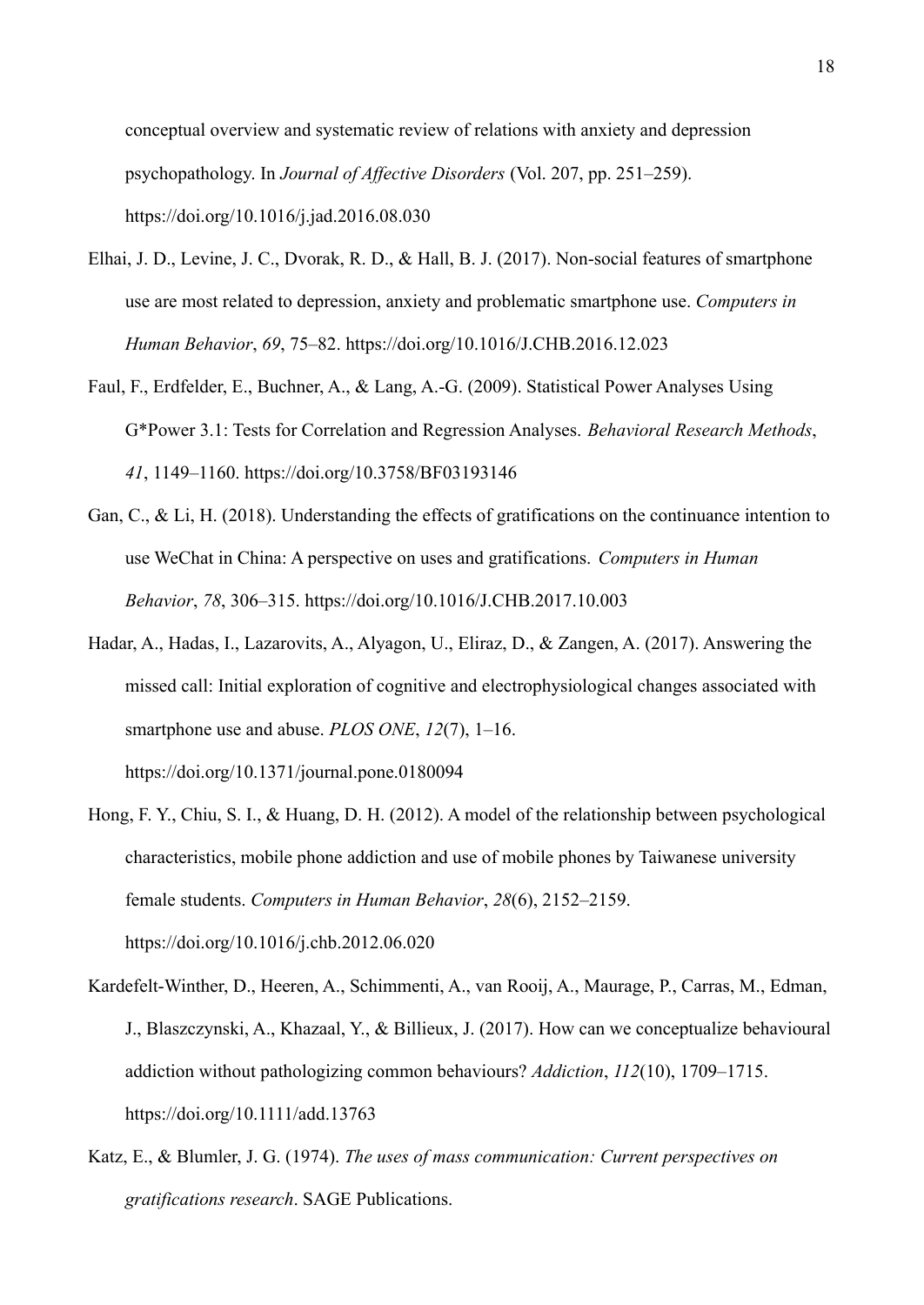conceptual overview and systematic review of relations with anxiety and depression psychopathology. In *Journal of Affective Disorders* (Vol. 207, pp. 251–259). https://doi.org/10.1016/j.jad.2016.08.030

- Elhai, J. D., Levine, J. C., Dvorak, R. D., & Hall, B. J. (2017). Non-social features of smartphone use are most related to depression, anxiety and problematic smartphone use. *Computers in Human Behavior*, *69*, 75–82. https://doi.org/10.1016/J.CHB.2016.12.023
- Faul, F., Erdfelder, E., Buchner, A., & Lang, A.-G. (2009). Statistical Power Analyses Using G\*Power 3.1: Tests for Correlation and Regression Analyses. *Behavioral Research Methods*, *41*, 1149–1160. https://doi.org/10.3758/BF03193146
- Gan, C., & Li, H. (2018). Understanding the effects of gratifications on the continuance intention to use WeChat in China: A perspective on uses and gratifications. *Computers in Human Behavior*, *78*, 306–315. https://doi.org/10.1016/J.CHB.2017.10.003
- Hadar, A., Hadas, I., Lazarovits, A., Alyagon, U., Eliraz, D., & Zangen, A. (2017). Answering the missed call: Initial exploration of cognitive and electrophysiological changes associated with smartphone use and abuse. *PLOS ONE*, *12*(7), 1–16. https://doi.org/10.1371/journal.pone.0180094
- Hong, F. Y., Chiu, S. I., & Huang, D. H. (2012). A model of the relationship between psychological characteristics, mobile phone addiction and use of mobile phones by Taiwanese university female students. *Computers in Human Behavior*, *28*(6), 2152–2159. https://doi.org/10.1016/j.chb.2012.06.020
- Kardefelt-Winther, D., Heeren, A., Schimmenti, A., van Rooij, A., Maurage, P., Carras, M., Edman, J., Blaszczynski, A., Khazaal, Y., & Billieux, J. (2017). How can we conceptualize behavioural addiction without pathologizing common behaviours? *Addiction*, *112*(10), 1709–1715. https://doi.org/10.1111/add.13763
- Katz, E., & Blumler, J. G. (1974). *The uses of mass communication: Current perspectives on gratifications research*. SAGE Publications.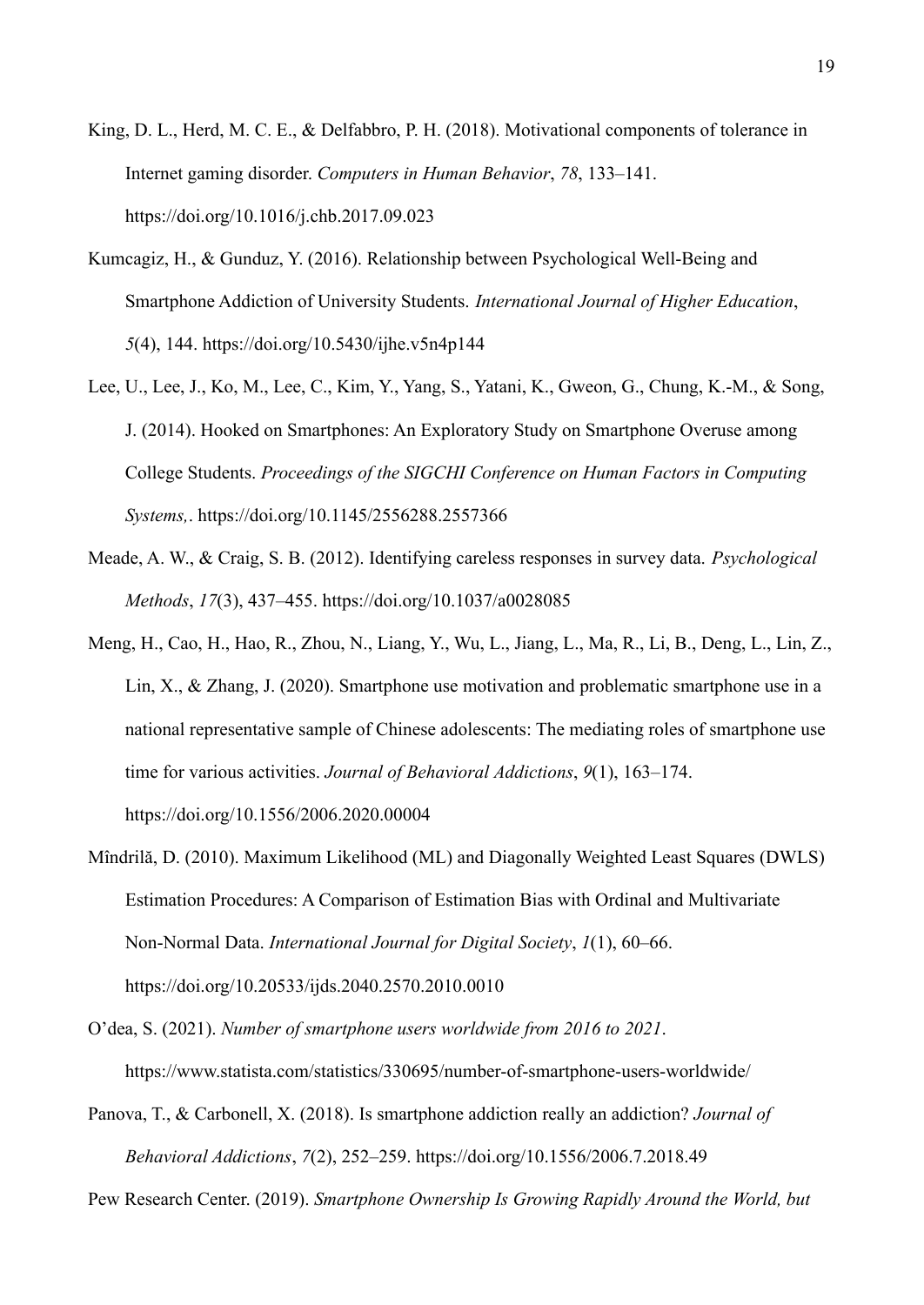- King, D. L., Herd, M. C. E., & Delfabbro, P. H. (2018). Motivational components of tolerance in Internet gaming disorder. *Computers in Human Behavior*, *78*, 133–141. https://doi.org/10.1016/j.chb.2017.09.023
- Kumcagiz, H., & Gunduz, Y. (2016). Relationship between Psychological Well-Being and Smartphone Addiction of University Students. *International Journal of Higher Education*, *5*(4), 144. https://doi.org/10.5430/ijhe.v5n4p144
- Lee, U., Lee, J., Ko, M., Lee, C., Kim, Y., Yang, S., Yatani, K., Gweon, G., Chung, K.-M., & Song, J. (2014). Hooked on Smartphones: An Exploratory Study on Smartphone Overuse among College Students. *Proceedings of the SIGCHI Conference on Human Factors in Computing Systems,*. https://doi.org/10.1145/2556288.2557366
- Meade, A. W., & Craig, S. B. (2012). Identifying careless responses in survey data. *Psychological Methods*, *17*(3), 437–455. https://doi.org/10.1037/a0028085
- Meng, H., Cao, H., Hao, R., Zhou, N., Liang, Y., Wu, L., Jiang, L., Ma, R., Li, B., Deng, L., Lin, Z., Lin, X., & Zhang, J. (2020). Smartphone use motivation and problematic smartphone use in a national representative sample of Chinese adolescents: The mediating roles of smartphone use time for various activities. *Journal of Behavioral Addictions*, *9*(1), 163–174. https://doi.org/10.1556/2006.2020.00004
- Mîndrilă, D. (2010). Maximum Likelihood (ML) and Diagonally Weighted Least Squares (DWLS) Estimation Procedures: A Comparison of Estimation Bias with Ordinal and Multivariate Non-Normal Data. *International Journal for Digital Society*, *1*(1), 60–66. https://doi.org/10.20533/ijds.2040.2570.2010.0010
- O'dea, S. (2021). *Number of smartphone users worldwide from 2016 to 2021*. https://www.statista.com/statistics/330695/number-of-smartphone-users-worldwide/
- Panova, T., & Carbonell, X. (2018). Is smartphone addiction really an addiction? *Journal of Behavioral Addictions*, *7*(2), 252–259. https://doi.org/10.1556/2006.7.2018.49

Pew Research Center. (2019). *Smartphone Ownership Is Growing Rapidly Around the World, but*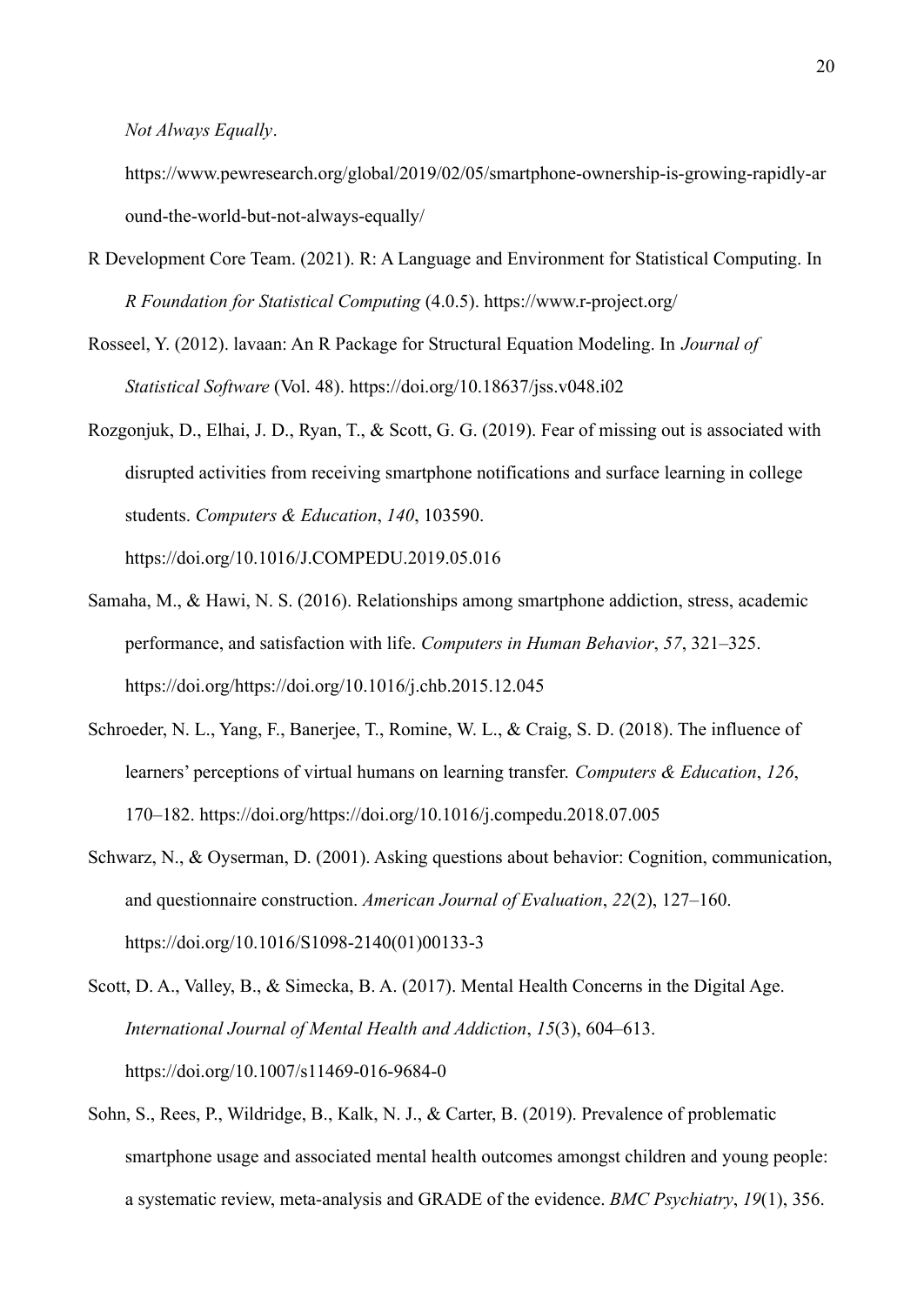*Not Always Equally*.

https://www.pewresearch.org/global/2019/02/05/smartphone-ownership-is-growing-rapidly-ar ound-the-world-but-not-always-equally/

- R Development Core Team. (2021). R: A Language and Environment for Statistical Computing. In *R Foundation for Statistical Computing* (4.0.5). https://www.r-project.org/
- Rosseel, Y. (2012). lavaan: An R Package for Structural Equation Modeling. In *Journal of Statistical Software* (Vol. 48). https://doi.org/10.18637/jss.v048.i02
- Rozgonjuk, D., Elhai, J. D., Ryan, T., & Scott, G. G. (2019). Fear of missing out is associated with disrupted activities from receiving smartphone notifications and surface learning in college students. *Computers & Education*, *140*, 103590.

https://doi.org/10.1016/J.COMPEDU.2019.05.016

- Samaha, M., & Hawi, N. S. (2016). Relationships among smartphone addiction, stress, academic performance, and satisfaction with life. *Computers in Human Behavior*, *57*, 321–325. https://doi.org/https://doi.org/10.1016/j.chb.2015.12.045
- Schroeder, N. L., Yang, F., Banerjee, T., Romine, W. L., & Craig, S. D. (2018). The influence of learners' perceptions of virtual humans on learning transfer. *Computers & Education*, *126*, 170–182. https://doi.org/https://doi.org/10.1016/j.compedu.2018.07.005
- Schwarz, N., & Oyserman, D. (2001). Asking questions about behavior: Cognition, communication, and questionnaire construction. *American Journal of Evaluation*, *22*(2), 127–160. https://doi.org/10.1016/S1098-2140(01)00133-3
- Scott, D. A., Valley, B., & Simecka, B. A. (2017). Mental Health Concerns in the Digital Age. *International Journal of Mental Health and Addiction*, *15*(3), 604–613. https://doi.org/10.1007/s11469-016-9684-0
- Sohn, S., Rees, P., Wildridge, B., Kalk, N. J., & Carter, B. (2019). Prevalence of problematic smartphone usage and associated mental health outcomes amongst children and young people: a systematic review, meta-analysis and GRADE of the evidence. *BMC Psychiatry*, *19*(1), 356.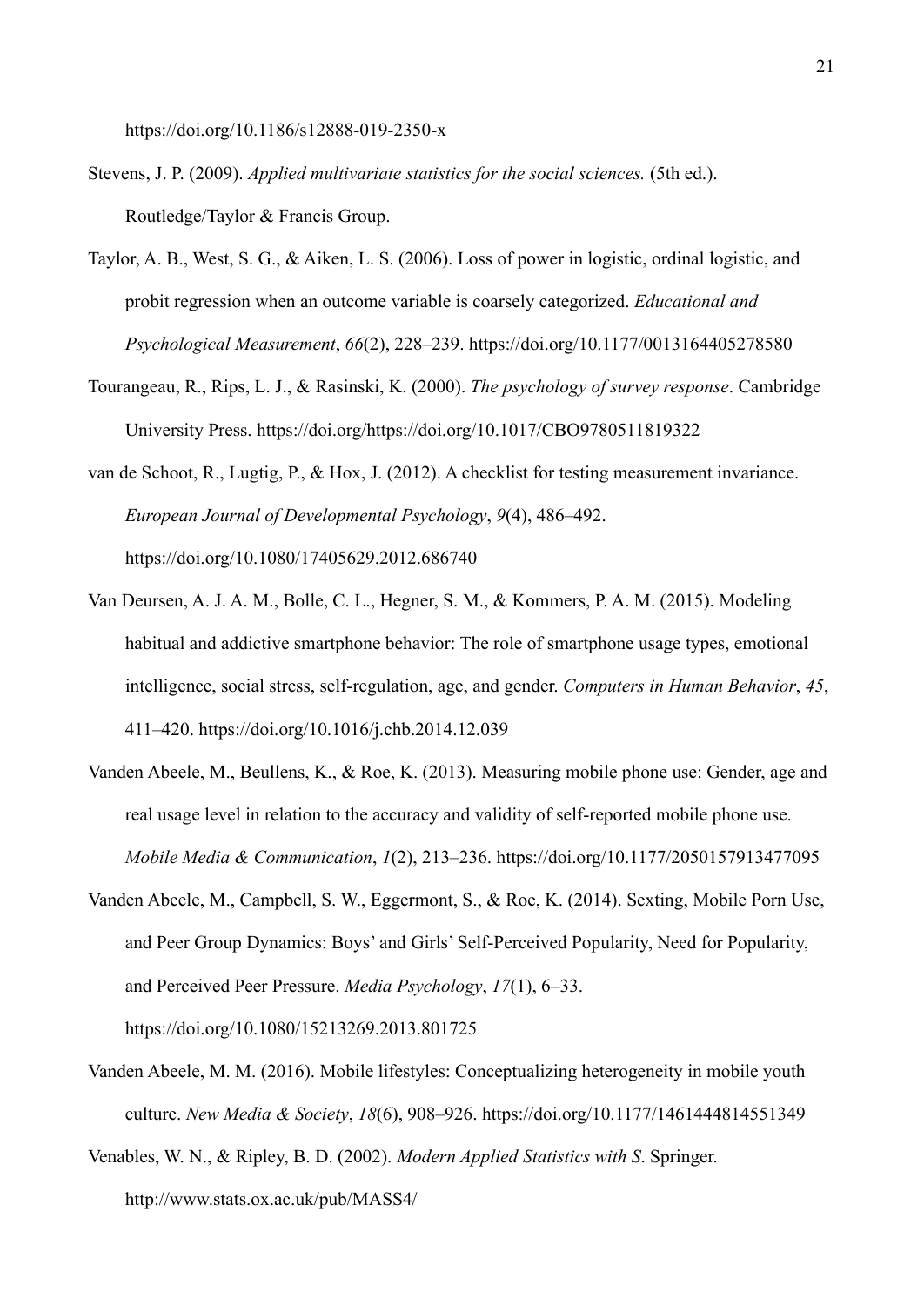https://doi.org/10.1186/s12888-019-2350-x

- Stevens, J. P. (2009). *Applied multivariate statistics for the social sciences.* (5th ed.). Routledge/Taylor & Francis Group.
- Taylor, A. B., West, S. G., & Aiken, L. S. (2006). Loss of power in logistic, ordinal logistic, and probit regression when an outcome variable is coarsely categorized. *Educational and Psychological Measurement*, *66*(2), 228–239. https://doi.org/10.1177/0013164405278580
- Tourangeau, R., Rips, L. J., & Rasinski, K. (2000). *The psychology of survey response*. Cambridge University Press. https://doi.org/https://doi.org/10.1017/CBO9780511819322
- van de Schoot, R., Lugtig, P., & Hox, J. (2012). A checklist for testing measurement invariance. *European Journal of Developmental Psychology*, *9*(4), 486–492. https://doi.org/10.1080/17405629.2012.686740
- Van Deursen, A. J. A. M., Bolle, C. L., Hegner, S. M., & Kommers, P. A. M. (2015). Modeling habitual and addictive smartphone behavior: The role of smartphone usage types, emotional intelligence, social stress, self-regulation, age, and gender. *Computers in Human Behavior*, *45*, 411–420. https://doi.org/10.1016/j.chb.2014.12.039
- Vanden Abeele, M., Beullens, K., & Roe, K. (2013). Measuring mobile phone use: Gender, age and real usage level in relation to the accuracy and validity of self-reported mobile phone use. *Mobile Media & Communication*, *1*(2), 213–236. https://doi.org/10.1177/2050157913477095
- Vanden Abeele, M., Campbell, S. W., Eggermont, S., & Roe, K. (2014). Sexting, Mobile Porn Use, and Peer Group Dynamics: Boys' and Girls' Self-Perceived Popularity, Need for Popularity, and Perceived Peer Pressure. *Media Psychology*, *17*(1), 6–33. https://doi.org/10.1080/15213269.2013.801725
- Vanden Abeele, M. M. (2016). Mobile lifestyles: Conceptualizing heterogeneity in mobile youth culture. *New Media & Society*, *18*(6), 908–926. https://doi.org/10.1177/1461444814551349

Venables, W. N., & Ripley, B. D. (2002). *Modern Applied Statistics with S*. Springer. http://www.stats.ox.ac.uk/pub/MASS4/